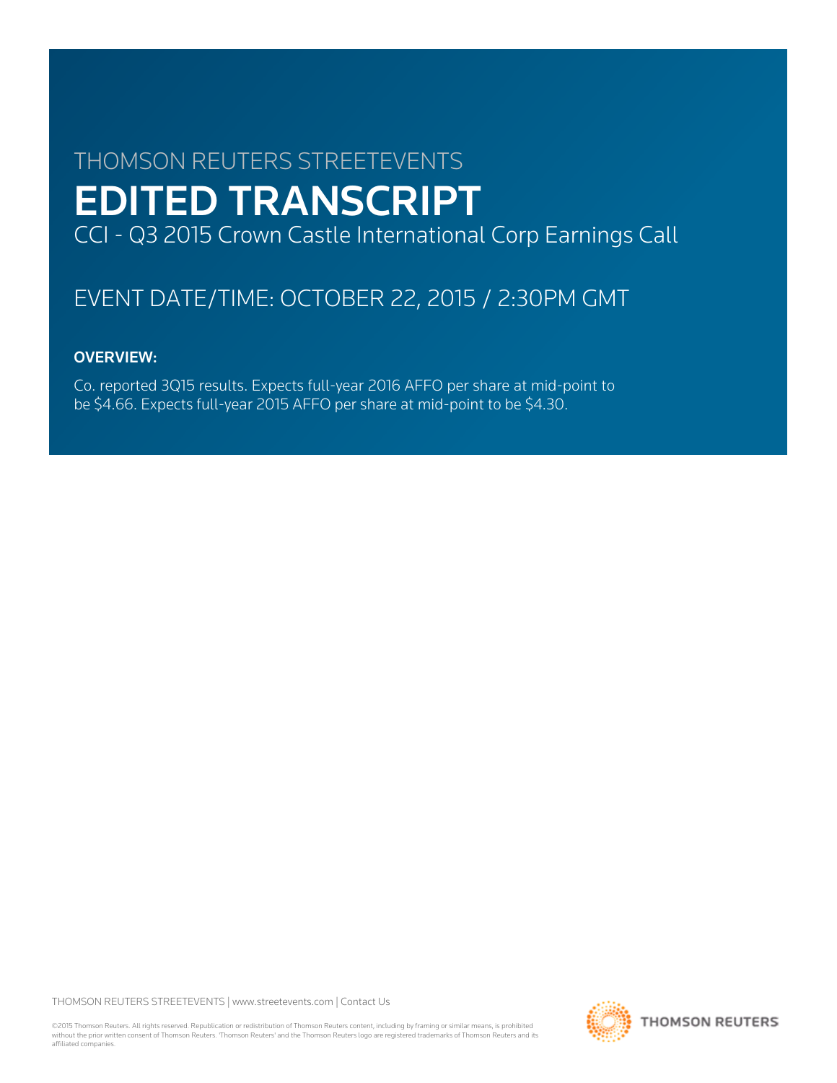# THOMSON REUTERS STREETEVENTS EDITED TRANSCRIPT CCI - Q3 2015 Crown Castle International Corp Earnings Call

# EVENT DATE/TIME: OCTOBER 22, 2015 / 2:30PM GMT

# OVERVIEW:

Co. reported 3Q15 results. Expects full-year 2016 AFFO per share at mid-point to be \$4.66. Expects full-year 2015 AFFO per share at mid-point to be \$4.30.

THOMSON REUTERS STREETEVENTS | [www.streetevents.com](http://www.streetevents.com) | [Contact Us](http://www010.streetevents.com/contact.asp)

©2015 Thomson Reuters. All rights reserved. Republication or redistribution of Thomson Reuters content, including by framing or similar means, is prohibited without the prior written consent of Thomson Reuters. 'Thomson Reuters' and the Thomson Reuters logo are registered trademarks of Thomson Reuters and its affiliated companies.

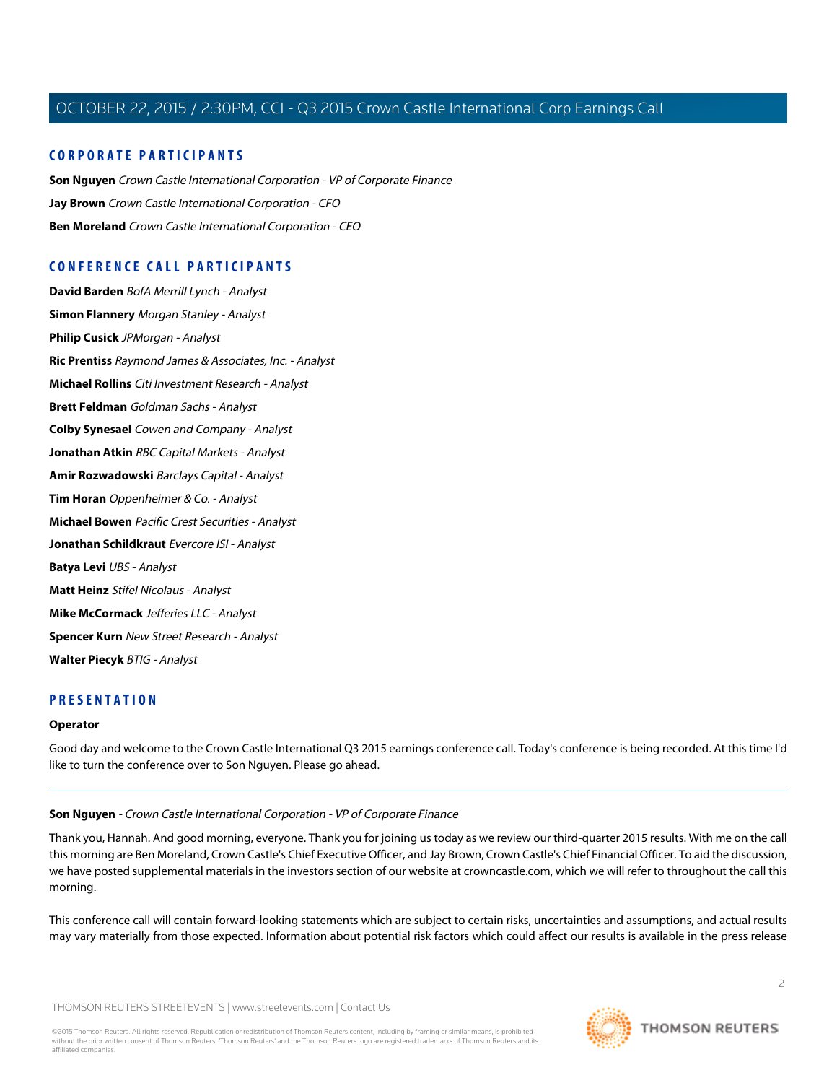# **CORPORATE PARTICIPANTS**

**[Son Nguyen](#page-1-0)** Crown Castle International Corporation - VP of Corporate Finance **[Jay Brown](#page-2-0)** Crown Castle International Corporation - CFO **[Ben Moreland](#page-4-0)** Crown Castle International Corporation - CEO

# **CONFERENCE CALL PARTICIPANTS**

**[David Barden](#page-6-0)** BofA Merrill Lynch - Analyst **[Simon Flannery](#page-7-0)** Morgan Stanley - Analyst **[Philip Cusick](#page-8-0)** JPMorgan - Analyst **[Ric Prentiss](#page-9-0)** Raymond James & Associates, Inc. - Analyst **[Michael Rollins](#page-11-0)** Citi Investment Research - Analyst **[Brett Feldman](#page-12-0)** Goldman Sachs - Analyst **[Colby Synesael](#page-14-0)** Cowen and Company - Analyst **[Jonathan Atkin](#page-15-0)** RBC Capital Markets - Analyst **[Amir Rozwadowski](#page-16-0)** Barclays Capital - Analyst **[Tim Horan](#page-17-0)** Oppenheimer & Co. - Analyst **[Michael Bowen](#page-18-0)** Pacific Crest Securities - Analyst **[Jonathan Schildkraut](#page-19-0)** Evercore ISI - Analyst **[Batya Levi](#page-20-0)** UBS - Analyst **[Matt Heinz](#page-21-0)** Stifel Nicolaus - Analyst **[Mike McCormack](#page-22-0)** Jefferies LLC - Analyst **[Spencer Kurn](#page-23-0)** New Street Research - Analyst **[Walter Piecyk](#page-24-0)** BTIG - Analyst

# **PRESENTATION**

#### <span id="page-1-0"></span>**Operator**

Good day and welcome to the Crown Castle International Q3 2015 earnings conference call. Today's conference is being recorded. At this time I'd like to turn the conference over to Son Nguyen. Please go ahead.

#### **Son Nguyen** - Crown Castle International Corporation - VP of Corporate Finance

Thank you, Hannah. And good morning, everyone. Thank you for joining us today as we review our third-quarter 2015 results. With me on the call this morning are Ben Moreland, Crown Castle's Chief Executive Officer, and Jay Brown, Crown Castle's Chief Financial Officer. To aid the discussion, we have posted supplemental materials in the investors section of our website at crowncastle.com, which we will refer to throughout the call this morning.

This conference call will contain forward-looking statements which are subject to certain risks, uncertainties and assumptions, and actual results may vary materially from those expected. Information about potential risk factors which could affect our results is available in the press release

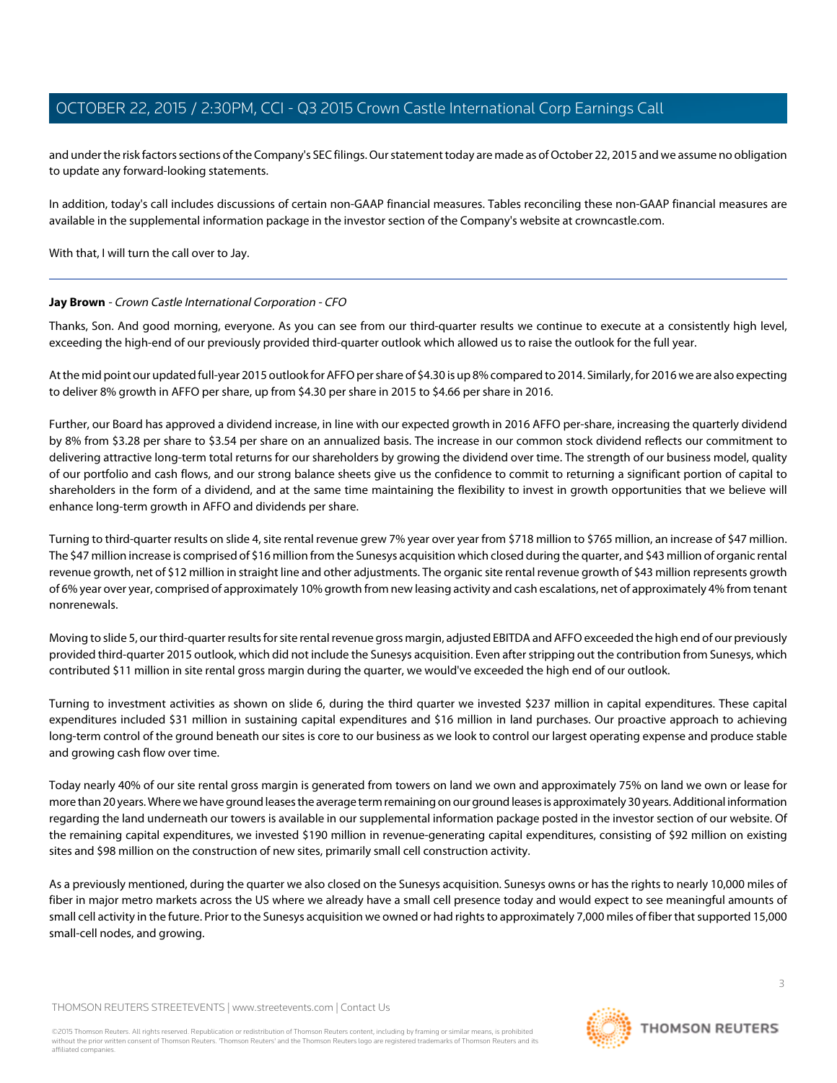and under the risk factors sections of the Company's SEC filings. Our statement today are made as of October 22, 2015 and we assume no obligation to update any forward-looking statements.

In addition, today's call includes discussions of certain non-GAAP financial measures. Tables reconciling these non-GAAP financial measures are available in the supplemental information package in the investor section of the Company's website at crowncastle.com.

<span id="page-2-0"></span>With that, I will turn the call over to Jay.

# **Jay Brown** - Crown Castle International Corporation - CFO

Thanks, Son. And good morning, everyone. As you can see from our third-quarter results we continue to execute at a consistently high level, exceeding the high-end of our previously provided third-quarter outlook which allowed us to raise the outlook for the full year.

At the mid point our updated full-year 2015 outlook for AFFO per share of \$4.30 is up 8% compared to 2014. Similarly, for 2016 we are also expecting to deliver 8% growth in AFFO per share, up from \$4.30 per share in 2015 to \$4.66 per share in 2016.

Further, our Board has approved a dividend increase, in line with our expected growth in 2016 AFFO per-share, increasing the quarterly dividend by 8% from \$3.28 per share to \$3.54 per share on an annualized basis. The increase in our common stock dividend reflects our commitment to delivering attractive long-term total returns for our shareholders by growing the dividend over time. The strength of our business model, quality of our portfolio and cash flows, and our strong balance sheets give us the confidence to commit to returning a significant portion of capital to shareholders in the form of a dividend, and at the same time maintaining the flexibility to invest in growth opportunities that we believe will enhance long-term growth in AFFO and dividends per share.

Turning to third-quarter results on slide 4, site rental revenue grew 7% year over year from \$718 million to \$765 million, an increase of \$47 million. The \$47 million increase is comprised of \$16 million from the Sunesys acquisition which closed during the quarter, and \$43 million of organic rental revenue growth, net of \$12 million in straight line and other adjustments. The organic site rental revenue growth of \$43 million represents growth of 6% year over year, comprised of approximately 10% growth from new leasing activity and cash escalations, net of approximately 4% from tenant nonrenewals.

Moving to slide 5, our third-quarter results for site rental revenue gross margin, adjusted EBITDA and AFFO exceeded the high end of our previously provided third-quarter 2015 outlook, which did not include the Sunesys acquisition. Even after stripping out the contribution from Sunesys, which contributed \$11 million in site rental gross margin during the quarter, we would've exceeded the high end of our outlook.

Turning to investment activities as shown on slide 6, during the third quarter we invested \$237 million in capital expenditures. These capital expenditures included \$31 million in sustaining capital expenditures and \$16 million in land purchases. Our proactive approach to achieving long-term control of the ground beneath our sites is core to our business as we look to control our largest operating expense and produce stable and growing cash flow over time.

Today nearly 40% of our site rental gross margin is generated from towers on land we own and approximately 75% on land we own or lease for more than 20 years. Where we have ground leases the average term remaining on our ground leases is approximately 30 years. Additional information regarding the land underneath our towers is available in our supplemental information package posted in the investor section of our website. Of the remaining capital expenditures, we invested \$190 million in revenue-generating capital expenditures, consisting of \$92 million on existing sites and \$98 million on the construction of new sites, primarily small cell construction activity.

As a previously mentioned, during the quarter we also closed on the Sunesys acquisition. Sunesys owns or has the rights to nearly 10,000 miles of fiber in major metro markets across the US where we already have a small cell presence today and would expect to see meaningful amounts of small cell activity in the future. Prior to the Sunesys acquisition we owned or had rights to approximately 7,000 miles of fiber that supported 15,000 small-cell nodes, and growing.

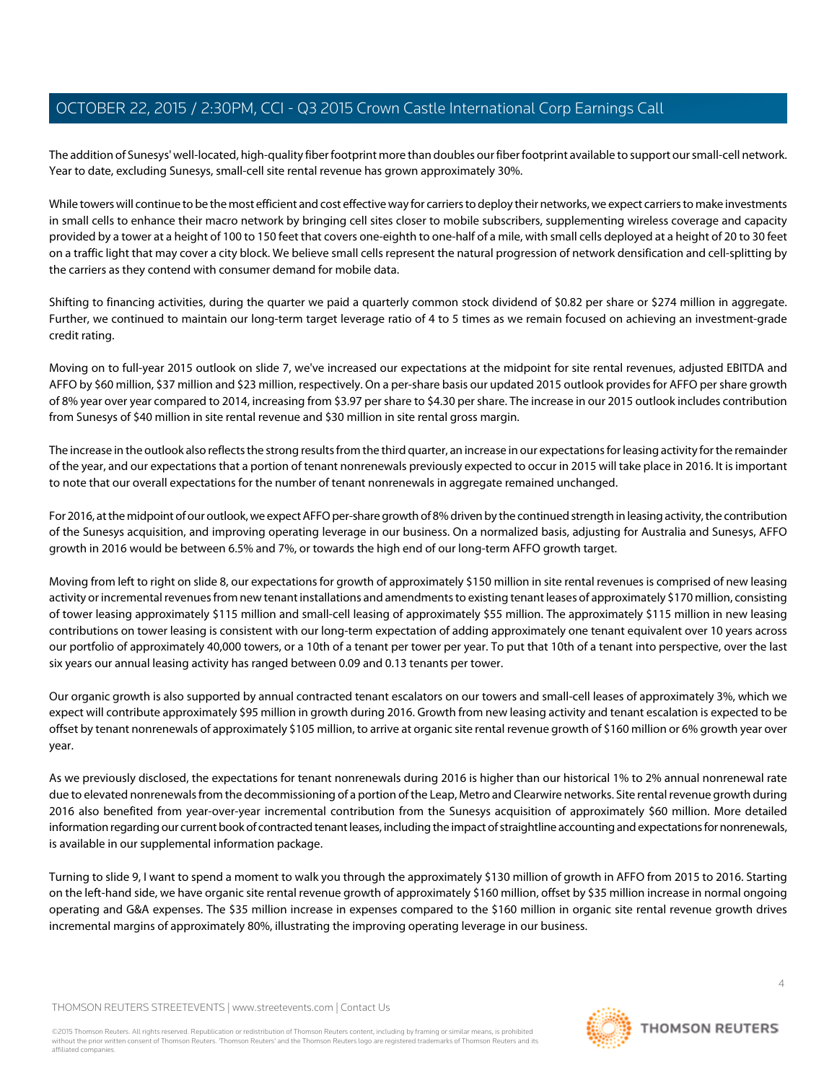The addition of Sunesys' well-located, high-quality fiber footprint more than doubles our fiber footprint available to support our small-cell network. Year to date, excluding Sunesys, small-cell site rental revenue has grown approximately 30%.

While towers will continue to be the most efficient and cost effective way for carriers to deploy their networks, we expect carriers to make investments in small cells to enhance their macro network by bringing cell sites closer to mobile subscribers, supplementing wireless coverage and capacity provided by a tower at a height of 100 to 150 feet that covers one-eighth to one-half of a mile, with small cells deployed at a height of 20 to 30 feet on a traffic light that may cover a city block. We believe small cells represent the natural progression of network densification and cell-splitting by the carriers as they contend with consumer demand for mobile data.

Shifting to financing activities, during the quarter we paid a quarterly common stock dividend of \$0.82 per share or \$274 million in aggregate. Further, we continued to maintain our long-term target leverage ratio of 4 to 5 times as we remain focused on achieving an investment-grade credit rating.

Moving on to full-year 2015 outlook on slide 7, we've increased our expectations at the midpoint for site rental revenues, adjusted EBITDA and AFFO by \$60 million, \$37 million and \$23 million, respectively. On a per-share basis our updated 2015 outlook provides for AFFO per share growth of 8% year over year compared to 2014, increasing from \$3.97 per share to \$4.30 per share. The increase in our 2015 outlook includes contribution from Sunesys of \$40 million in site rental revenue and \$30 million in site rental gross margin.

The increase in the outlook also reflects the strong results from the third quarter, an increase in our expectations for leasing activity for the remainder of the year, and our expectations that a portion of tenant nonrenewals previously expected to occur in 2015 will take place in 2016. It is important to note that our overall expectations for the number of tenant nonrenewals in aggregate remained unchanged.

For 2016, at the midpoint of our outlook, we expect AFFO per-share growth of 8% driven by the continued strength in leasing activity, the contribution of the Sunesys acquisition, and improving operating leverage in our business. On a normalized basis, adjusting for Australia and Sunesys, AFFO growth in 2016 would be between 6.5% and 7%, or towards the high end of our long-term AFFO growth target.

Moving from left to right on slide 8, our expectations for growth of approximately \$150 million in site rental revenues is comprised of new leasing activity or incremental revenues from new tenant installations and amendments to existing tenant leases of approximately \$170 million, consisting of tower leasing approximately \$115 million and small-cell leasing of approximately \$55 million. The approximately \$115 million in new leasing contributions on tower leasing is consistent with our long-term expectation of adding approximately one tenant equivalent over 10 years across our portfolio of approximately 40,000 towers, or a 10th of a tenant per tower per year. To put that 10th of a tenant into perspective, over the last six years our annual leasing activity has ranged between 0.09 and 0.13 tenants per tower.

Our organic growth is also supported by annual contracted tenant escalators on our towers and small-cell leases of approximately 3%, which we expect will contribute approximately \$95 million in growth during 2016. Growth from new leasing activity and tenant escalation is expected to be offset by tenant nonrenewals of approximately \$105 million, to arrive at organic site rental revenue growth of \$160 million or 6% growth year over year.

As we previously disclosed, the expectations for tenant nonrenewals during 2016 is higher than our historical 1% to 2% annual nonrenewal rate due to elevated nonrenewals from the decommissioning of a portion of the Leap, Metro and Clearwire networks. Site rental revenue growth during 2016 also benefited from year-over-year incremental contribution from the Sunesys acquisition of approximately \$60 million. More detailed information regarding our current book of contracted tenant leases, including the impact of straightline accounting and expectations for nonrenewals, is available in our supplemental information package.

Turning to slide 9, I want to spend a moment to walk you through the approximately \$130 million of growth in AFFO from 2015 to 2016. Starting on the left-hand side, we have organic site rental revenue growth of approximately \$160 million, offset by \$35 million increase in normal ongoing operating and G&A expenses. The \$35 million increase in expenses compared to the \$160 million in organic site rental revenue growth drives incremental margins of approximately 80%, illustrating the improving operating leverage in our business.

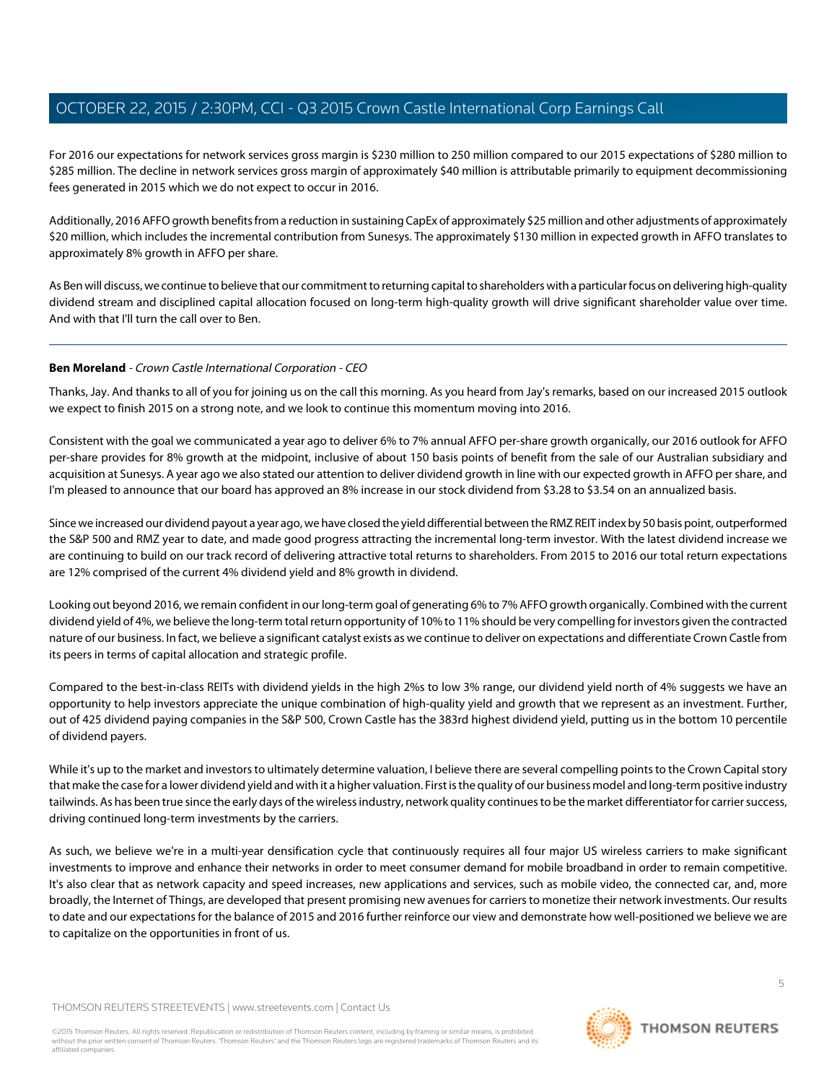For 2016 our expectations for network services gross margin is \$230 million to 250 million compared to our 2015 expectations of \$280 million to \$285 million. The decline in network services gross margin of approximately \$40 million is attributable primarily to equipment decommissioning fees generated in 2015 which we do not expect to occur in 2016.

Additionally, 2016 AFFO growth benefits from a reduction in sustaining CapEx of approximately \$25 million and other adjustments of approximately \$20 million, which includes the incremental contribution from Sunesys. The approximately \$130 million in expected growth in AFFO translates to approximately 8% growth in AFFO per share.

As Ben will discuss, we continue to believe that our commitment to returning capital to shareholders with a particular focus on delivering high-quality dividend stream and disciplined capital allocation focused on long-term high-quality growth will drive significant shareholder value over time. And with that I'll turn the call over to Ben.

# <span id="page-4-0"></span>**Ben Moreland** - Crown Castle International Corporation - CEO

Thanks, Jay. And thanks to all of you for joining us on the call this morning. As you heard from Jay's remarks, based on our increased 2015 outlook we expect to finish 2015 on a strong note, and we look to continue this momentum moving into 2016.

Consistent with the goal we communicated a year ago to deliver 6% to 7% annual AFFO per-share growth organically, our 2016 outlook for AFFO per-share provides for 8% growth at the midpoint, inclusive of about 150 basis points of benefit from the sale of our Australian subsidiary and acquisition at Sunesys. A year ago we also stated our attention to deliver dividend growth in line with our expected growth in AFFO per share, and I'm pleased to announce that our board has approved an 8% increase in our stock dividend from \$3.28 to \$3.54 on an annualized basis.

Since we increased our dividend payout a year ago, we have closed the yield differential between the RMZ REIT index by 50 basis point, outperformed the S&P 500 and RMZ year to date, and made good progress attracting the incremental long-term investor. With the latest dividend increase we are continuing to build on our track record of delivering attractive total returns to shareholders. From 2015 to 2016 our total return expectations are 12% comprised of the current 4% dividend yield and 8% growth in dividend.

Looking out beyond 2016, we remain confident in our long-term goal of generating 6% to 7% AFFO growth organically. Combined with the current dividend yield of 4%, we believe the long-term total return opportunity of 10% to 11% should be very compelling for investors given the contracted nature of our business. In fact, we believe a significant catalyst exists as we continue to deliver on expectations and differentiate Crown Castle from its peers in terms of capital allocation and strategic profile.

Compared to the best-in-class REITs with dividend yields in the high 2%s to low 3% range, our dividend yield north of 4% suggests we have an opportunity to help investors appreciate the unique combination of high-quality yield and growth that we represent as an investment. Further, out of 425 dividend paying companies in the S&P 500, Crown Castle has the 383rd highest dividend yield, putting us in the bottom 10 percentile of dividend payers.

While it's up to the market and investors to ultimately determine valuation, I believe there are several compelling points to the Crown Capital story that make the case for a lower dividend yield and with it a higher valuation. First is the quality of our business model and long-term positive industry tailwinds. As has been true since the early days of the wireless industry, network quality continues to be the market differentiator for carrier success, driving continued long-term investments by the carriers.

As such, we believe we're in a multi-year densification cycle that continuously requires all four major US wireless carriers to make significant investments to improve and enhance their networks in order to meet consumer demand for mobile broadband in order to remain competitive. It's also clear that as network capacity and speed increases, new applications and services, such as mobile video, the connected car, and, more broadly, the Internet of Things, are developed that present promising new avenues for carriers to monetize their network investments. Our results to date and our expectations for the balance of 2015 and 2016 further reinforce our view and demonstrate how well-positioned we believe we are to capitalize on the opportunities in front of us.

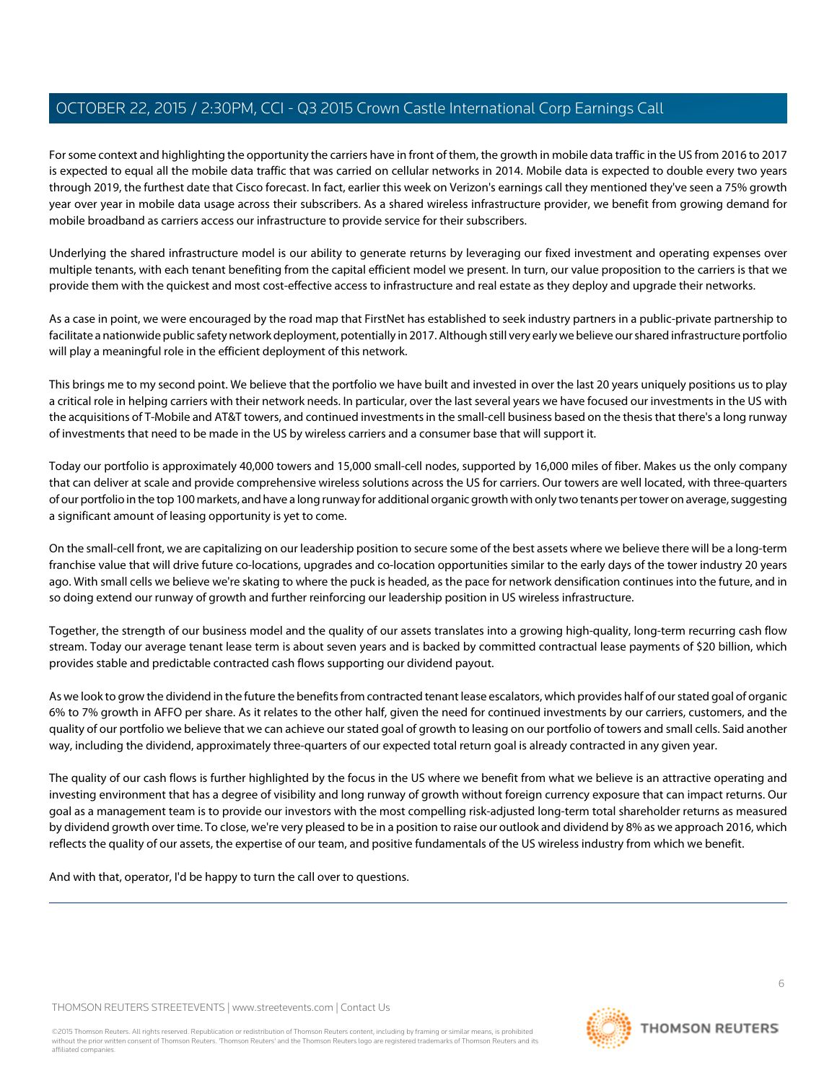For some context and highlighting the opportunity the carriers have in front of them, the growth in mobile data traffic in the US from 2016 to 2017 is expected to equal all the mobile data traffic that was carried on cellular networks in 2014. Mobile data is expected to double every two years through 2019, the furthest date that Cisco forecast. In fact, earlier this week on Verizon's earnings call they mentioned they've seen a 75% growth year over year in mobile data usage across their subscribers. As a shared wireless infrastructure provider, we benefit from growing demand for mobile broadband as carriers access our infrastructure to provide service for their subscribers.

Underlying the shared infrastructure model is our ability to generate returns by leveraging our fixed investment and operating expenses over multiple tenants, with each tenant benefiting from the capital efficient model we present. In turn, our value proposition to the carriers is that we provide them with the quickest and most cost-effective access to infrastructure and real estate as they deploy and upgrade their networks.

As a case in point, we were encouraged by the road map that FirstNet has established to seek industry partners in a public-private partnership to facilitate a nationwide public safety network deployment, potentially in 2017. Although still very early we believe our shared infrastructure portfolio will play a meaningful role in the efficient deployment of this network.

This brings me to my second point. We believe that the portfolio we have built and invested in over the last 20 years uniquely positions us to play a critical role in helping carriers with their network needs. In particular, over the last several years we have focused our investments in the US with the acquisitions of T-Mobile and AT&T towers, and continued investments in the small-cell business based on the thesis that there's a long runway of investments that need to be made in the US by wireless carriers and a consumer base that will support it.

Today our portfolio is approximately 40,000 towers and 15,000 small-cell nodes, supported by 16,000 miles of fiber. Makes us the only company that can deliver at scale and provide comprehensive wireless solutions across the US for carriers. Our towers are well located, with three-quarters of our portfolio in the top 100 markets, and have a long runway for additional organic growth with only two tenants per tower on average, suggesting a significant amount of leasing opportunity is yet to come.

On the small-cell front, we are capitalizing on our leadership position to secure some of the best assets where we believe there will be a long-term franchise value that will drive future co-locations, upgrades and co-location opportunities similar to the early days of the tower industry 20 years ago. With small cells we believe we're skating to where the puck is headed, as the pace for network densification continues into the future, and in so doing extend our runway of growth and further reinforcing our leadership position in US wireless infrastructure.

Together, the strength of our business model and the quality of our assets translates into a growing high-quality, long-term recurring cash flow stream. Today our average tenant lease term is about seven years and is backed by committed contractual lease payments of \$20 billion, which provides stable and predictable contracted cash flows supporting our dividend payout.

As we look to grow the dividend in the future the benefits from contracted tenant lease escalators, which provides half of our stated goal of organic 6% to 7% growth in AFFO per share. As it relates to the other half, given the need for continued investments by our carriers, customers, and the quality of our portfolio we believe that we can achieve our stated goal of growth to leasing on our portfolio of towers and small cells. Said another way, including the dividend, approximately three-quarters of our expected total return goal is already contracted in any given year.

The quality of our cash flows is further highlighted by the focus in the US where we benefit from what we believe is an attractive operating and investing environment that has a degree of visibility and long runway of growth without foreign currency exposure that can impact returns. Our goal as a management team is to provide our investors with the most compelling risk-adjusted long-term total shareholder returns as measured by dividend growth over time. To close, we're very pleased to be in a position to raise our outlook and dividend by 8% as we approach 2016, which reflects the quality of our assets, the expertise of our team, and positive fundamentals of the US wireless industry from which we benefit.

And with that, operator, I'd be happy to turn the call over to questions.

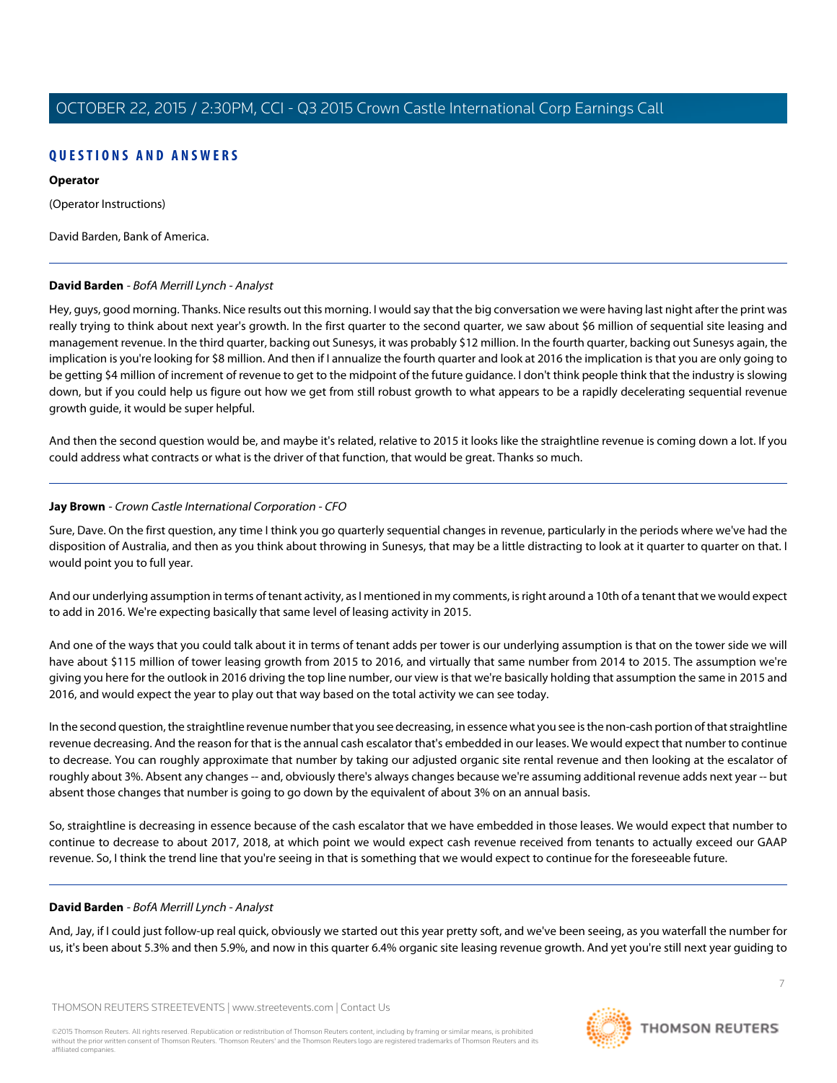# **QUESTIONS AND ANSWERS**

#### **Operator**

(Operator Instructions)

<span id="page-6-0"></span>David Barden, Bank of America.

# **David Barden** - BofA Merrill Lynch - Analyst

Hey, guys, good morning. Thanks. Nice results out this morning. I would say that the big conversation we were having last night after the print was really trying to think about next year's growth. In the first quarter to the second quarter, we saw about \$6 million of sequential site leasing and management revenue. In the third quarter, backing out Sunesys, it was probably \$12 million. In the fourth quarter, backing out Sunesys again, the implication is you're looking for \$8 million. And then if I annualize the fourth quarter and look at 2016 the implication is that you are only going to be getting \$4 million of increment of revenue to get to the midpoint of the future guidance. I don't think people think that the industry is slowing down, but if you could help us figure out how we get from still robust growth to what appears to be a rapidly decelerating sequential revenue growth guide, it would be super helpful.

And then the second question would be, and maybe it's related, relative to 2015 it looks like the straightline revenue is coming down a lot. If you could address what contracts or what is the driver of that function, that would be great. Thanks so much.

# **Jay Brown** - Crown Castle International Corporation - CFO

Sure, Dave. On the first question, any time I think you go quarterly sequential changes in revenue, particularly in the periods where we've had the disposition of Australia, and then as you think about throwing in Sunesys, that may be a little distracting to look at it quarter to quarter on that. I would point you to full year.

And our underlying assumption in terms of tenant activity, as I mentioned in my comments, is right around a 10th of a tenant that we would expect to add in 2016. We're expecting basically that same level of leasing activity in 2015.

And one of the ways that you could talk about it in terms of tenant adds per tower is our underlying assumption is that on the tower side we will have about \$115 million of tower leasing growth from 2015 to 2016, and virtually that same number from 2014 to 2015. The assumption we're giving you here for the outlook in 2016 driving the top line number, our view is that we're basically holding that assumption the same in 2015 and 2016, and would expect the year to play out that way based on the total activity we can see today.

In the second question, the straightline revenue number that you see decreasing, in essence what you see is the non-cash portion of that straightline revenue decreasing. And the reason for that is the annual cash escalator that's embedded in our leases. We would expect that number to continue to decrease. You can roughly approximate that number by taking our adjusted organic site rental revenue and then looking at the escalator of roughly about 3%. Absent any changes -- and, obviously there's always changes because we're assuming additional revenue adds next year -- but absent those changes that number is going to go down by the equivalent of about 3% on an annual basis.

So, straightline is decreasing in essence because of the cash escalator that we have embedded in those leases. We would expect that number to continue to decrease to about 2017, 2018, at which point we would expect cash revenue received from tenants to actually exceed our GAAP revenue. So, I think the trend line that you're seeing in that is something that we would expect to continue for the foreseeable future.

# **David Barden** - BofA Merrill Lynch - Analyst

And, Jay, if I could just follow-up real quick, obviously we started out this year pretty soft, and we've been seeing, as you waterfall the number for us, it's been about 5.3% and then 5.9%, and now in this quarter 6.4% organic site leasing revenue growth. And yet you're still next year guiding to

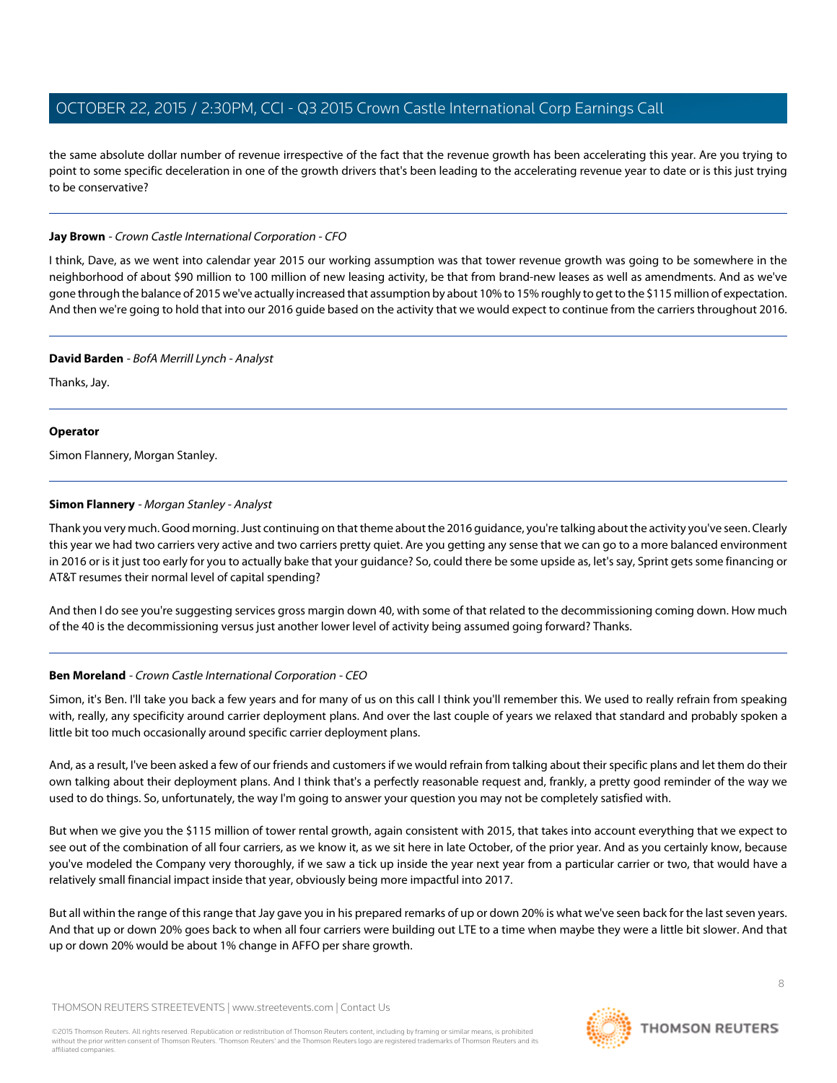the same absolute dollar number of revenue irrespective of the fact that the revenue growth has been accelerating this year. Are you trying to point to some specific deceleration in one of the growth drivers that's been leading to the accelerating revenue year to date or is this just trying to be conservative?

#### **Jay Brown** - Crown Castle International Corporation - CFO

I think, Dave, as we went into calendar year 2015 our working assumption was that tower revenue growth was going to be somewhere in the neighborhood of about \$90 million to 100 million of new leasing activity, be that from brand-new leases as well as amendments. And as we've gone through the balance of 2015 we've actually increased that assumption by about 10% to 15% roughly to get to the \$115 million of expectation. And then we're going to hold that into our 2016 guide based on the activity that we would expect to continue from the carriers throughout 2016.

#### **David Barden** - BofA Merrill Lynch - Analyst

Thanks, Jay.

#### **Operator**

<span id="page-7-0"></span>Simon Flannery, Morgan Stanley.

# **Simon Flannery** - Morgan Stanley - Analyst

Thank you very much. Good morning. Just continuing on that theme about the 2016 guidance, you're talking about the activity you've seen. Clearly this year we had two carriers very active and two carriers pretty quiet. Are you getting any sense that we can go to a more balanced environment in 2016 or is it just too early for you to actually bake that your guidance? So, could there be some upside as, let's say, Sprint gets some financing or AT&T resumes their normal level of capital spending?

And then I do see you're suggesting services gross margin down 40, with some of that related to the decommissioning coming down. How much of the 40 is the decommissioning versus just another lower level of activity being assumed going forward? Thanks.

# **Ben Moreland** - Crown Castle International Corporation - CEO

Simon, it's Ben. I'll take you back a few years and for many of us on this call I think you'll remember this. We used to really refrain from speaking with, really, any specificity around carrier deployment plans. And over the last couple of years we relaxed that standard and probably spoken a little bit too much occasionally around specific carrier deployment plans.

And, as a result, I've been asked a few of our friends and customers if we would refrain from talking about their specific plans and let them do their own talking about their deployment plans. And I think that's a perfectly reasonable request and, frankly, a pretty good reminder of the way we used to do things. So, unfortunately, the way I'm going to answer your question you may not be completely satisfied with.

But when we give you the \$115 million of tower rental growth, again consistent with 2015, that takes into account everything that we expect to see out of the combination of all four carriers, as we know it, as we sit here in late October, of the prior year. And as you certainly know, because you've modeled the Company very thoroughly, if we saw a tick up inside the year next year from a particular carrier or two, that would have a relatively small financial impact inside that year, obviously being more impactful into 2017.

But all within the range of this range that Jay gave you in his prepared remarks of up or down 20% is what we've seen back for the last seven years. And that up or down 20% goes back to when all four carriers were building out LTE to a time when maybe they were a little bit slower. And that up or down 20% would be about 1% change in AFFO per share growth.

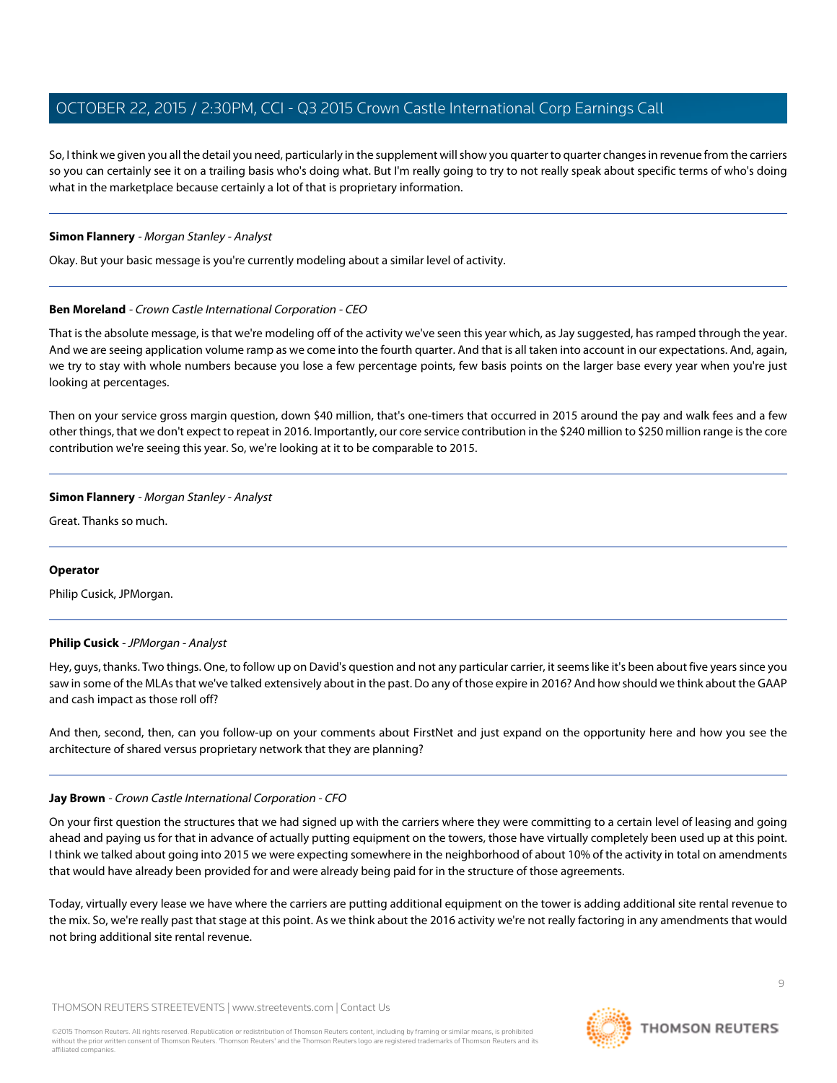So, I think we given you all the detail you need, particularly in the supplement will show you quarter to quarter changes in revenue from the carriers so you can certainly see it on a trailing basis who's doing what. But I'm really going to try to not really speak about specific terms of who's doing what in the marketplace because certainly a lot of that is proprietary information.

#### **Simon Flannery** - Morgan Stanley - Analyst

Okay. But your basic message is you're currently modeling about a similar level of activity.

#### **Ben Moreland** - Crown Castle International Corporation - CEO

That is the absolute message, is that we're modeling off of the activity we've seen this year which, as Jay suggested, has ramped through the year. And we are seeing application volume ramp as we come into the fourth quarter. And that is all taken into account in our expectations. And, again, we try to stay with whole numbers because you lose a few percentage points, few basis points on the larger base every year when you're just looking at percentages.

Then on your service gross margin question, down \$40 million, that's one-timers that occurred in 2015 around the pay and walk fees and a few other things, that we don't expect to repeat in 2016. Importantly, our core service contribution in the \$240 million to \$250 million range is the core contribution we're seeing this year. So, we're looking at it to be comparable to 2015.

#### **Simon Flannery** - Morgan Stanley - Analyst

Great. Thanks so much.

#### <span id="page-8-0"></span>**Operator**

Philip Cusick, JPMorgan.

#### **Philip Cusick** - JPMorgan - Analyst

Hey, guys, thanks. Two things. One, to follow up on David's question and not any particular carrier, it seems like it's been about five years since you saw in some of the MLAs that we've talked extensively about in the past. Do any of those expire in 2016? And how should we think about the GAAP and cash impact as those roll off?

And then, second, then, can you follow-up on your comments about FirstNet and just expand on the opportunity here and how you see the architecture of shared versus proprietary network that they are planning?

# **Jay Brown** - Crown Castle International Corporation - CFO

On your first question the structures that we had signed up with the carriers where they were committing to a certain level of leasing and going ahead and paying us for that in advance of actually putting equipment on the towers, those have virtually completely been used up at this point. I think we talked about going into 2015 we were expecting somewhere in the neighborhood of about 10% of the activity in total on amendments that would have already been provided for and were already being paid for in the structure of those agreements.

Today, virtually every lease we have where the carriers are putting additional equipment on the tower is adding additional site rental revenue to the mix. So, we're really past that stage at this point. As we think about the 2016 activity we're not really factoring in any amendments that would not bring additional site rental revenue.

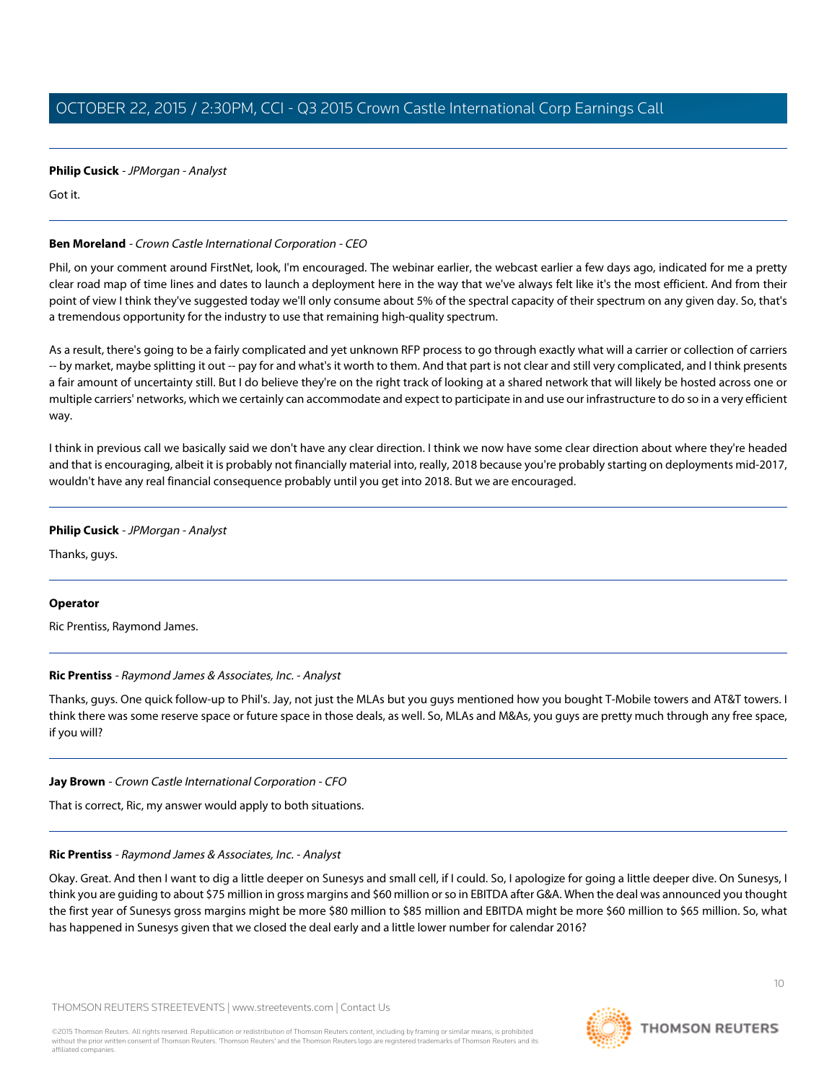# **Philip Cusick** - JPMorgan - Analyst

Got it.

# **Ben Moreland** - Crown Castle International Corporation - CEO

Phil, on your comment around FirstNet, look, I'm encouraged. The webinar earlier, the webcast earlier a few days ago, indicated for me a pretty clear road map of time lines and dates to launch a deployment here in the way that we've always felt like it's the most efficient. And from their point of view I think they've suggested today we'll only consume about 5% of the spectral capacity of their spectrum on any given day. So, that's a tremendous opportunity for the industry to use that remaining high-quality spectrum.

As a result, there's going to be a fairly complicated and yet unknown RFP process to go through exactly what will a carrier or collection of carriers -- by market, maybe splitting it out -- pay for and what's it worth to them. And that part is not clear and still very complicated, and I think presents a fair amount of uncertainty still. But I do believe they're on the right track of looking at a shared network that will likely be hosted across one or multiple carriers' networks, which we certainly can accommodate and expect to participate in and use our infrastructure to do so in a very efficient way.

I think in previous call we basically said we don't have any clear direction. I think we now have some clear direction about where they're headed and that is encouraging, albeit it is probably not financially material into, really, 2018 because you're probably starting on deployments mid-2017, wouldn't have any real financial consequence probably until you get into 2018. But we are encouraged.

# **Philip Cusick** - JPMorgan - Analyst

Thanks, guys.

# <span id="page-9-0"></span>**Operator**

Ric Prentiss, Raymond James.

# **Ric Prentiss** - Raymond James & Associates, Inc. - Analyst

Thanks, guys. One quick follow-up to Phil's. Jay, not just the MLAs but you guys mentioned how you bought T-Mobile towers and AT&T towers. I think there was some reserve space or future space in those deals, as well. So, MLAs and M&As, you guys are pretty much through any free space, if you will?

# **Jay Brown** - Crown Castle International Corporation - CFO

That is correct, Ric, my answer would apply to both situations.

# **Ric Prentiss** - Raymond James & Associates, Inc. - Analyst

Okay. Great. And then I want to dig a little deeper on Sunesys and small cell, if I could. So, I apologize for going a little deeper dive. On Sunesys, I think you are guiding to about \$75 million in gross margins and \$60 million or so in EBITDA after G&A. When the deal was announced you thought the first year of Sunesys gross margins might be more \$80 million to \$85 million and EBITDA might be more \$60 million to \$65 million. So, what has happened in Sunesys given that we closed the deal early and a little lower number for calendar 2016?

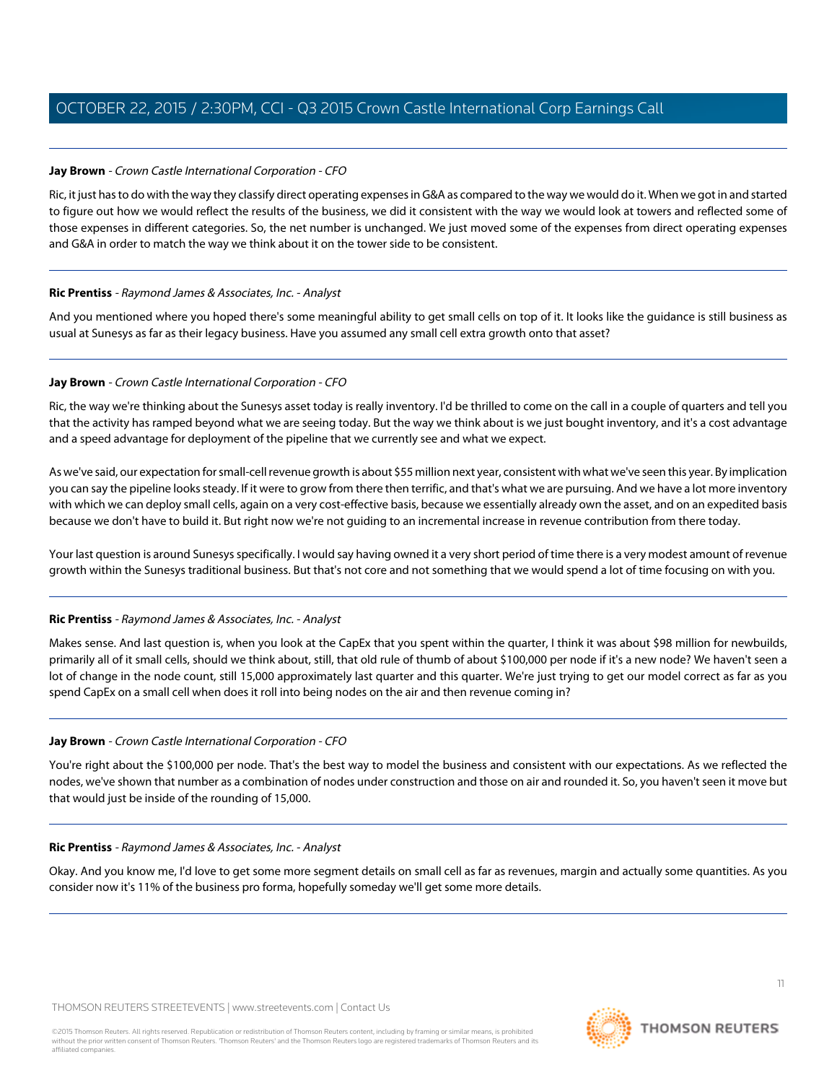# **Jay Brown** - Crown Castle International Corporation - CFO

Ric, it just has to do with the way they classify direct operating expenses in G&A as compared to the way we would do it. When we got in and started to figure out how we would reflect the results of the business, we did it consistent with the way we would look at towers and reflected some of those expenses in different categories. So, the net number is unchanged. We just moved some of the expenses from direct operating expenses and G&A in order to match the way we think about it on the tower side to be consistent.

# **Ric Prentiss** - Raymond James & Associates, Inc. - Analyst

And you mentioned where you hoped there's some meaningful ability to get small cells on top of it. It looks like the guidance is still business as usual at Sunesys as far as their legacy business. Have you assumed any small cell extra growth onto that asset?

# **Jay Brown** - Crown Castle International Corporation - CFO

Ric, the way we're thinking about the Sunesys asset today is really inventory. I'd be thrilled to come on the call in a couple of quarters and tell you that the activity has ramped beyond what we are seeing today. But the way we think about is we just bought inventory, and it's a cost advantage and a speed advantage for deployment of the pipeline that we currently see and what we expect.

As we've said, our expectation for small-cell revenue growth is about \$55 million next year, consistent with what we've seen this year. By implication you can say the pipeline looks steady. If it were to grow from there then terrific, and that's what we are pursuing. And we have a lot more inventory with which we can deploy small cells, again on a very cost-effective basis, because we essentially already own the asset, and on an expedited basis because we don't have to build it. But right now we're not guiding to an incremental increase in revenue contribution from there today.

Your last question is around Sunesys specifically. I would say having owned it a very short period of time there is a very modest amount of revenue growth within the Sunesys traditional business. But that's not core and not something that we would spend a lot of time focusing on with you.

# **Ric Prentiss** - Raymond James & Associates, Inc. - Analyst

Makes sense. And last question is, when you look at the CapEx that you spent within the quarter, I think it was about \$98 million for newbuilds, primarily all of it small cells, should we think about, still, that old rule of thumb of about \$100,000 per node if it's a new node? We haven't seen a lot of change in the node count, still 15,000 approximately last quarter and this quarter. We're just trying to get our model correct as far as you spend CapEx on a small cell when does it roll into being nodes on the air and then revenue coming in?

# **Jay Brown** - Crown Castle International Corporation - CFO

You're right about the \$100,000 per node. That's the best way to model the business and consistent with our expectations. As we reflected the nodes, we've shown that number as a combination of nodes under construction and those on air and rounded it. So, you haven't seen it move but that would just be inside of the rounding of 15,000.

#### **Ric Prentiss** - Raymond James & Associates, Inc. - Analyst

Okay. And you know me, I'd love to get some more segment details on small cell as far as revenues, margin and actually some quantities. As you consider now it's 11% of the business pro forma, hopefully someday we'll get some more details.

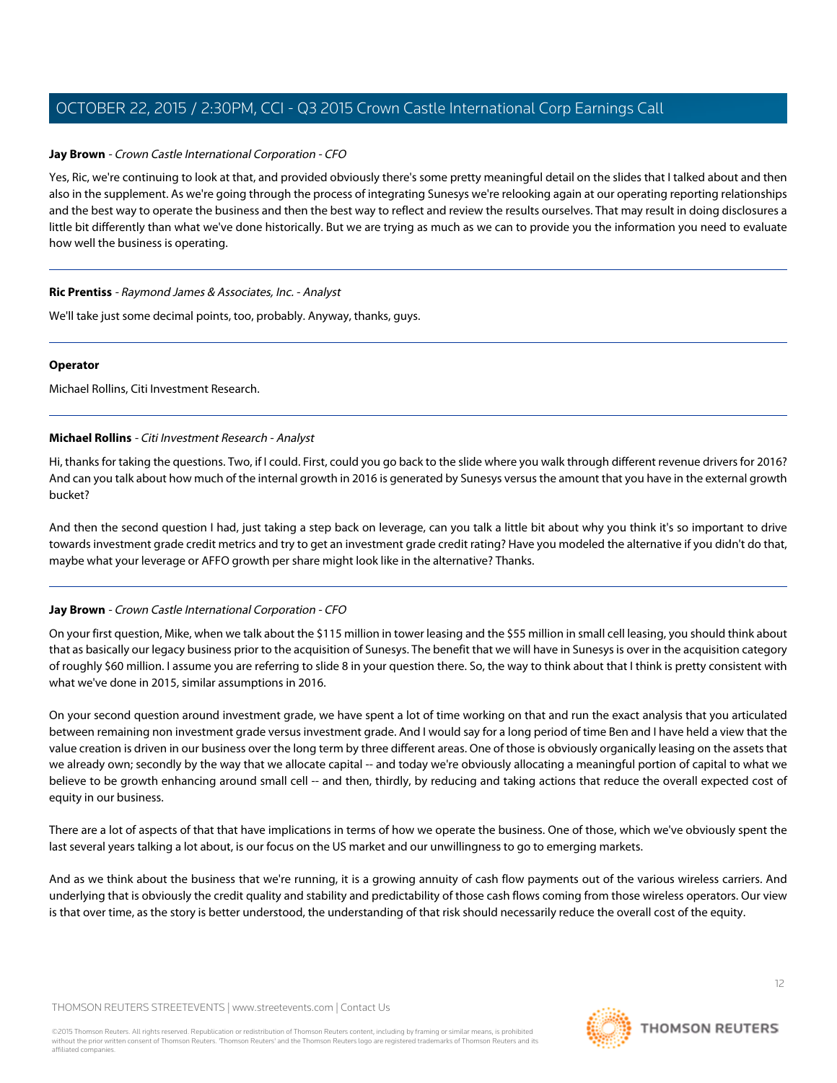#### **Jay Brown** - Crown Castle International Corporation - CFO

Yes, Ric, we're continuing to look at that, and provided obviously there's some pretty meaningful detail on the slides that I talked about and then also in the supplement. As we're going through the process of integrating Sunesys we're relooking again at our operating reporting relationships and the best way to operate the business and then the best way to reflect and review the results ourselves. That may result in doing disclosures a little bit differently than what we've done historically. But we are trying as much as we can to provide you the information you need to evaluate how well the business is operating.

#### **Ric Prentiss** - Raymond James & Associates, Inc. - Analyst

We'll take just some decimal points, too, probably. Anyway, thanks, guys.

#### **Operator**

<span id="page-11-0"></span>Michael Rollins, Citi Investment Research.

#### **Michael Rollins** - Citi Investment Research - Analyst

Hi, thanks for taking the questions. Two, if I could. First, could you go back to the slide where you walk through different revenue drivers for 2016? And can you talk about how much of the internal growth in 2016 is generated by Sunesys versus the amount that you have in the external growth bucket?

And then the second question I had, just taking a step back on leverage, can you talk a little bit about why you think it's so important to drive towards investment grade credit metrics and try to get an investment grade credit rating? Have you modeled the alternative if you didn't do that, maybe what your leverage or AFFO growth per share might look like in the alternative? Thanks.

#### **Jay Brown** - Crown Castle International Corporation - CFO

On your first question, Mike, when we talk about the \$115 million in tower leasing and the \$55 million in small cell leasing, you should think about that as basically our legacy business prior to the acquisition of Sunesys. The benefit that we will have in Sunesys is over in the acquisition category of roughly \$60 million. I assume you are referring to slide 8 in your question there. So, the way to think about that I think is pretty consistent with what we've done in 2015, similar assumptions in 2016.

On your second question around investment grade, we have spent a lot of time working on that and run the exact analysis that you articulated between remaining non investment grade versus investment grade. And I would say for a long period of time Ben and I have held a view that the value creation is driven in our business over the long term by three different areas. One of those is obviously organically leasing on the assets that we already own; secondly by the way that we allocate capital -- and today we're obviously allocating a meaningful portion of capital to what we believe to be growth enhancing around small cell -- and then, thirdly, by reducing and taking actions that reduce the overall expected cost of equity in our business.

There are a lot of aspects of that that have implications in terms of how we operate the business. One of those, which we've obviously spent the last several years talking a lot about, is our focus on the US market and our unwillingness to go to emerging markets.

And as we think about the business that we're running, it is a growing annuity of cash flow payments out of the various wireless carriers. And underlying that is obviously the credit quality and stability and predictability of those cash flows coming from those wireless operators. Our view is that over time, as the story is better understood, the understanding of that risk should necessarily reduce the overall cost of the equity.

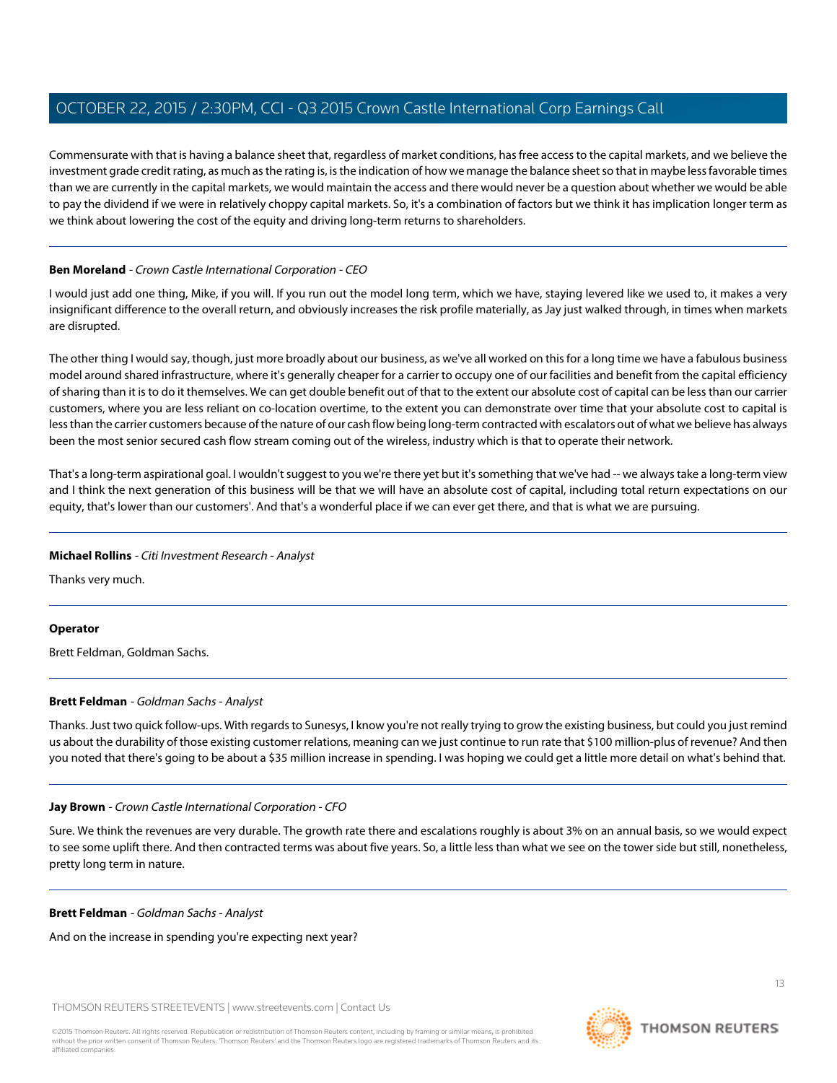Commensurate with that is having a balance sheet that, regardless of market conditions, has free access to the capital markets, and we believe the investment grade credit rating, as much as the rating is, is the indication of how we manage the balance sheet so that in maybe less favorable times than we are currently in the capital markets, we would maintain the access and there would never be a question about whether we would be able to pay the dividend if we were in relatively choppy capital markets. So, it's a combination of factors but we think it has implication longer term as we think about lowering the cost of the equity and driving long-term returns to shareholders.

# **Ben Moreland** - Crown Castle International Corporation - CEO

I would just add one thing, Mike, if you will. If you run out the model long term, which we have, staying levered like we used to, it makes a very insignificant difference to the overall return, and obviously increases the risk profile materially, as Jay just walked through, in times when markets are disrupted.

The other thing I would say, though, just more broadly about our business, as we've all worked on this for a long time we have a fabulous business model around shared infrastructure, where it's generally cheaper for a carrier to occupy one of our facilities and benefit from the capital efficiency of sharing than it is to do it themselves. We can get double benefit out of that to the extent our absolute cost of capital can be less than our carrier customers, where you are less reliant on co-location overtime, to the extent you can demonstrate over time that your absolute cost to capital is less than the carrier customers because of the nature of our cash flow being long-term contracted with escalators out of what we believe has always been the most senior secured cash flow stream coming out of the wireless, industry which is that to operate their network.

That's a long-term aspirational goal. I wouldn't suggest to you we're there yet but it's something that we've had -- we always take a long-term view and I think the next generation of this business will be that we will have an absolute cost of capital, including total return expectations on our equity, that's lower than our customers'. And that's a wonderful place if we can ever get there, and that is what we are pursuing.

# **Michael Rollins** - Citi Investment Research - Analyst

Thanks very much.

# <span id="page-12-0"></span>**Operator**

Brett Feldman, Goldman Sachs.

# **Brett Feldman** - Goldman Sachs - Analyst

Thanks. Just two quick follow-ups. With regards to Sunesys, I know you're not really trying to grow the existing business, but could you just remind us about the durability of those existing customer relations, meaning can we just continue to run rate that \$100 million-plus of revenue? And then you noted that there's going to be about a \$35 million increase in spending. I was hoping we could get a little more detail on what's behind that.

# **Jay Brown** - Crown Castle International Corporation - CFO

Sure. We think the revenues are very durable. The growth rate there and escalations roughly is about 3% on an annual basis, so we would expect to see some uplift there. And then contracted terms was about five years. So, a little less than what we see on the tower side but still, nonetheless, pretty long term in nature.

#### **Brett Feldman** - Goldman Sachs - Analyst

And on the increase in spending you're expecting next year?

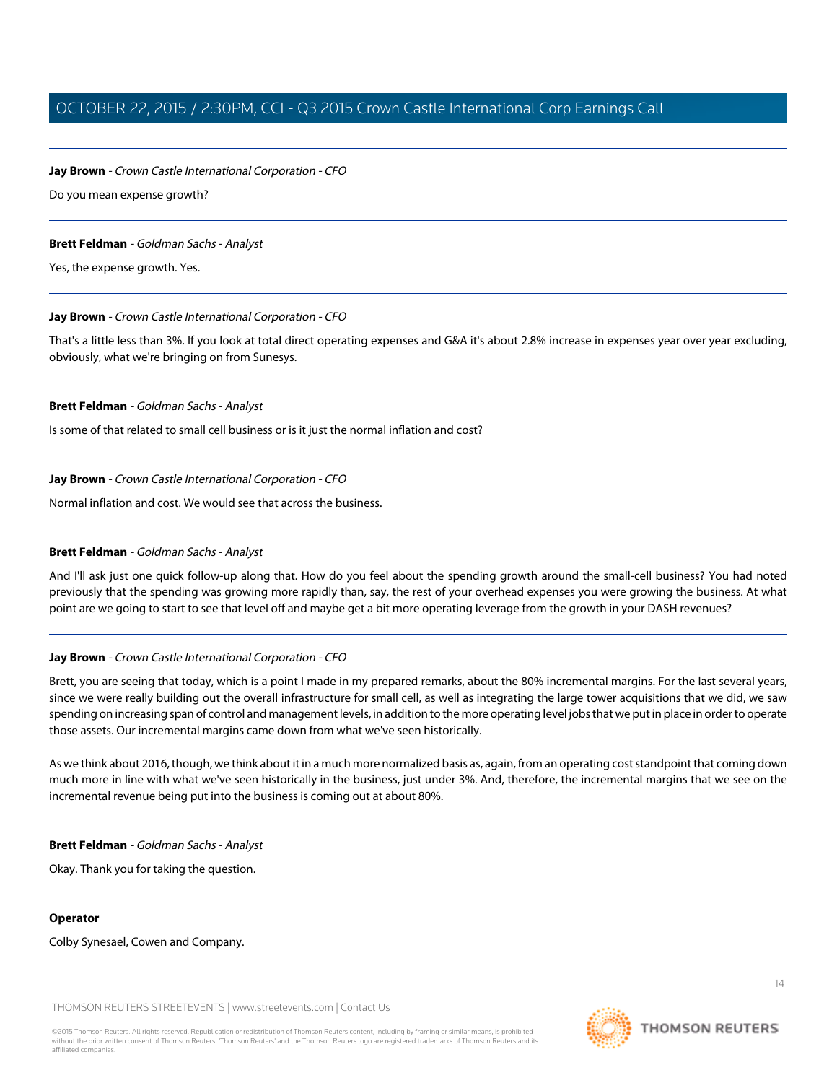#### **Jay Brown** - Crown Castle International Corporation - CFO

Do you mean expense growth?

#### **Brett Feldman** - Goldman Sachs - Analyst

Yes, the expense growth. Yes.

#### **Jay Brown** - Crown Castle International Corporation - CFO

That's a little less than 3%. If you look at total direct operating expenses and G&A it's about 2.8% increase in expenses year over year excluding, obviously, what we're bringing on from Sunesys.

#### **Brett Feldman** - Goldman Sachs - Analyst

Is some of that related to small cell business or is it just the normal inflation and cost?

#### **Jay Brown** - Crown Castle International Corporation - CFO

Normal inflation and cost. We would see that across the business.

#### **Brett Feldman** - Goldman Sachs - Analyst

And I'll ask just one quick follow-up along that. How do you feel about the spending growth around the small-cell business? You had noted previously that the spending was growing more rapidly than, say, the rest of your overhead expenses you were growing the business. At what point are we going to start to see that level off and maybe get a bit more operating leverage from the growth in your DASH revenues?

#### **Jay Brown** - Crown Castle International Corporation - CFO

Brett, you are seeing that today, which is a point I made in my prepared remarks, about the 80% incremental margins. For the last several years, since we were really building out the overall infrastructure for small cell, as well as integrating the large tower acquisitions that we did, we saw spending on increasing span of control and management levels, in addition to the more operating level jobs that we put in place in order to operate those assets. Our incremental margins came down from what we've seen historically.

As we think about 2016, though, we think about it in a much more normalized basis as, again, from an operating cost standpoint that coming down much more in line with what we've seen historically in the business, just under 3%. And, therefore, the incremental margins that we see on the incremental revenue being put into the business is coming out at about 80%.

#### **Brett Feldman** - Goldman Sachs - Analyst

Okay. Thank you for taking the question.

#### **Operator**

Colby Synesael, Cowen and Company.

THOMSON REUTERS STREETEVENTS | [www.streetevents.com](http://www.streetevents.com) | [Contact Us](http://www010.streetevents.com/contact.asp)

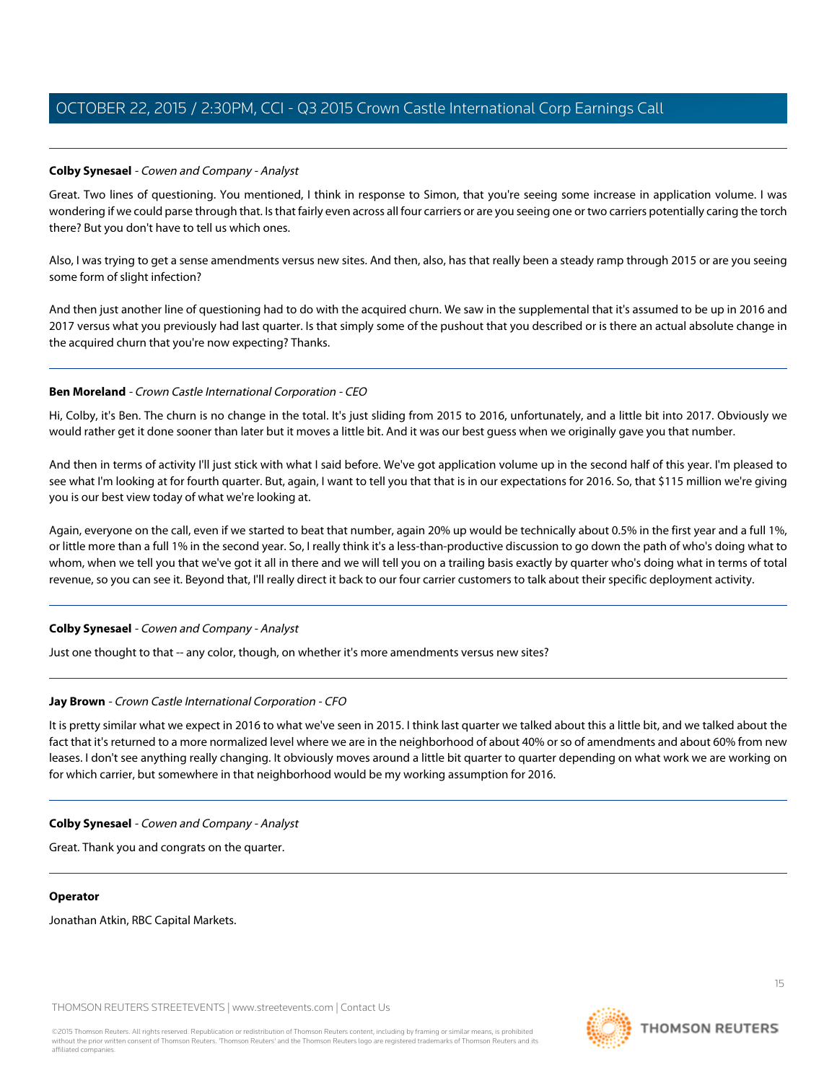# <span id="page-14-0"></span>**Colby Synesael** - Cowen and Company - Analyst

Great. Two lines of questioning. You mentioned, I think in response to Simon, that you're seeing some increase in application volume. I was wondering if we could parse through that. Is that fairly even across all four carriers or are you seeing one or two carriers potentially caring the torch there? But you don't have to tell us which ones.

Also, I was trying to get a sense amendments versus new sites. And then, also, has that really been a steady ramp through 2015 or are you seeing some form of slight infection?

And then just another line of questioning had to do with the acquired churn. We saw in the supplemental that it's assumed to be up in 2016 and 2017 versus what you previously had last quarter. Is that simply some of the pushout that you described or is there an actual absolute change in the acquired churn that you're now expecting? Thanks.

# **Ben Moreland** - Crown Castle International Corporation - CEO

Hi, Colby, it's Ben. The churn is no change in the total. It's just sliding from 2015 to 2016, unfortunately, and a little bit into 2017. Obviously we would rather get it done sooner than later but it moves a little bit. And it was our best guess when we originally gave you that number.

And then in terms of activity I'll just stick with what I said before. We've got application volume up in the second half of this year. I'm pleased to see what I'm looking at for fourth quarter. But, again, I want to tell you that that is in our expectations for 2016. So, that \$115 million we're giving you is our best view today of what we're looking at.

Again, everyone on the call, even if we started to beat that number, again 20% up would be technically about 0.5% in the first year and a full 1%, or little more than a full 1% in the second year. So, I really think it's a less-than-productive discussion to go down the path of who's doing what to whom, when we tell you that we've got it all in there and we will tell you on a trailing basis exactly by quarter who's doing what in terms of total revenue, so you can see it. Beyond that, I'll really direct it back to our four carrier customers to talk about their specific deployment activity.

# **Colby Synesael** - Cowen and Company - Analyst

Just one thought to that -- any color, though, on whether it's more amendments versus new sites?

# **Jay Brown** - Crown Castle International Corporation - CFO

It is pretty similar what we expect in 2016 to what we've seen in 2015. I think last quarter we talked about this a little bit, and we talked about the fact that it's returned to a more normalized level where we are in the neighborhood of about 40% or so of amendments and about 60% from new leases. I don't see anything really changing. It obviously moves around a little bit quarter to quarter depending on what work we are working on for which carrier, but somewhere in that neighborhood would be my working assumption for 2016.

# **Colby Synesael** - Cowen and Company - Analyst

Great. Thank you and congrats on the quarter.

#### **Operator**

Jonathan Atkin, RBC Capital Markets.



**THOMSON REUTERS**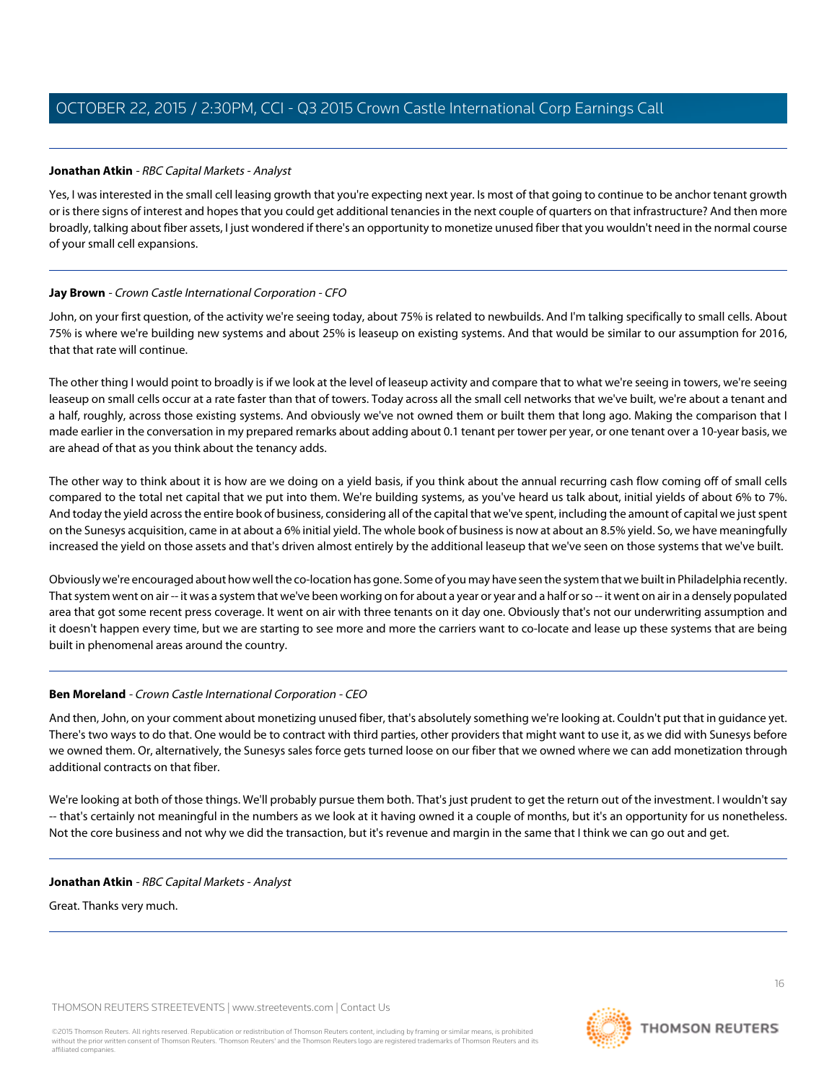# <span id="page-15-0"></span>**Jonathan Atkin** - RBC Capital Markets - Analyst

Yes, I was interested in the small cell leasing growth that you're expecting next year. Is most of that going to continue to be anchor tenant growth or is there signs of interest and hopes that you could get additional tenancies in the next couple of quarters on that infrastructure? And then more broadly, talking about fiber assets, I just wondered if there's an opportunity to monetize unused fiber that you wouldn't need in the normal course of your small cell expansions.

# **Jay Brown** - Crown Castle International Corporation - CFO

John, on your first question, of the activity we're seeing today, about 75% is related to newbuilds. And I'm talking specifically to small cells. About 75% is where we're building new systems and about 25% is leaseup on existing systems. And that would be similar to our assumption for 2016, that that rate will continue.

The other thing I would point to broadly is if we look at the level of leaseup activity and compare that to what we're seeing in towers, we're seeing leaseup on small cells occur at a rate faster than that of towers. Today across all the small cell networks that we've built, we're about a tenant and a half, roughly, across those existing systems. And obviously we've not owned them or built them that long ago. Making the comparison that I made earlier in the conversation in my prepared remarks about adding about 0.1 tenant per tower per year, or one tenant over a 10-year basis, we are ahead of that as you think about the tenancy adds.

The other way to think about it is how are we doing on a yield basis, if you think about the annual recurring cash flow coming off of small cells compared to the total net capital that we put into them. We're building systems, as you've heard us talk about, initial yields of about 6% to 7%. And today the yield across the entire book of business, considering all of the capital that we've spent, including the amount of capital we just spent on the Sunesys acquisition, came in at about a 6% initial yield. The whole book of business is now at about an 8.5% yield. So, we have meaningfully increased the yield on those assets and that's driven almost entirely by the additional leaseup that we've seen on those systems that we've built.

Obviously we're encouraged about how well the co-location has gone. Some of you may have seen the system that we built in Philadelphia recently. That system went on air -- it was a system that we've been working on for about a year or year and a half or so -- it went on air in a densely populated area that got some recent press coverage. It went on air with three tenants on it day one. Obviously that's not our underwriting assumption and it doesn't happen every time, but we are starting to see more and more the carriers want to co-locate and lease up these systems that are being built in phenomenal areas around the country.

# **Ben Moreland** - Crown Castle International Corporation - CEO

And then, John, on your comment about monetizing unused fiber, that's absolutely something we're looking at. Couldn't put that in guidance yet. There's two ways to do that. One would be to contract with third parties, other providers that might want to use it, as we did with Sunesys before we owned them. Or, alternatively, the Sunesys sales force gets turned loose on our fiber that we owned where we can add monetization through additional contracts on that fiber.

We're looking at both of those things. We'll probably pursue them both. That's just prudent to get the return out of the investment. I wouldn't say -- that's certainly not meaningful in the numbers as we look at it having owned it a couple of months, but it's an opportunity for us nonetheless. Not the core business and not why we did the transaction, but it's revenue and margin in the same that I think we can go out and get.

# **Jonathan Atkin** - RBC Capital Markets - Analyst

Great. Thanks very much.

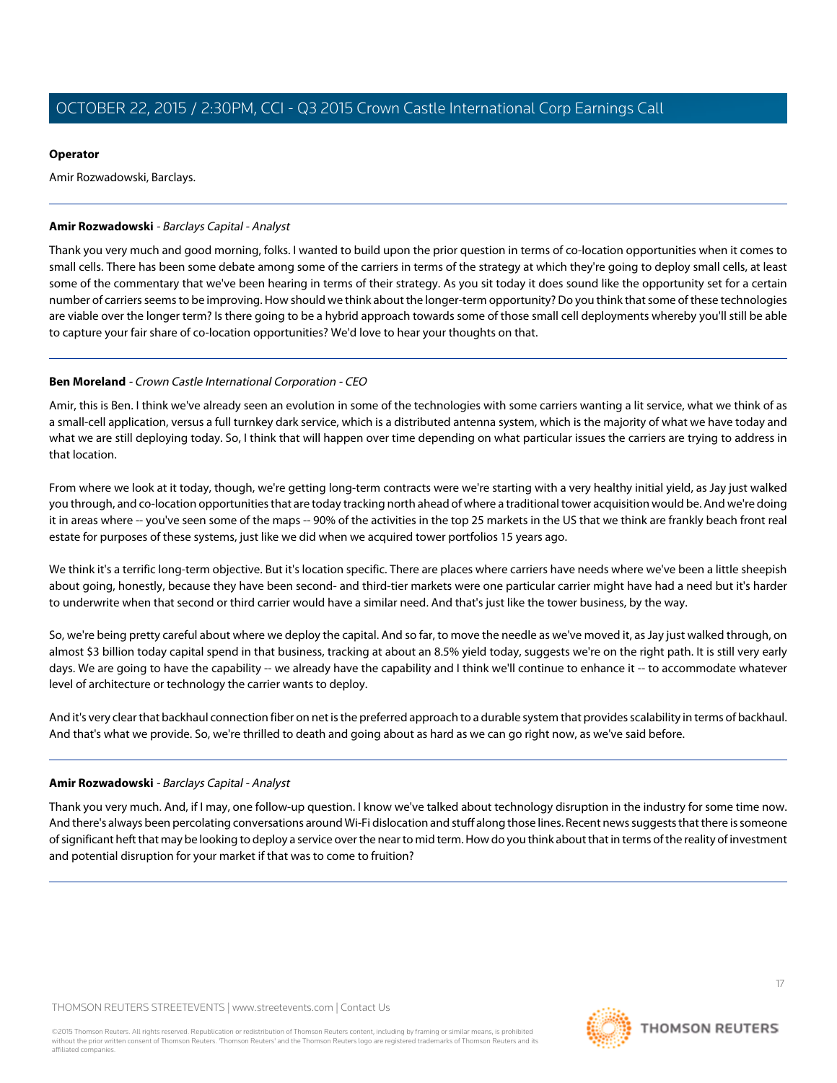# **Operator**

Amir Rozwadowski, Barclays.

# <span id="page-16-0"></span>**Amir Rozwadowski** - Barclays Capital - Analyst

Thank you very much and good morning, folks. I wanted to build upon the prior question in terms of co-location opportunities when it comes to small cells. There has been some debate among some of the carriers in terms of the strategy at which they're going to deploy small cells, at least some of the commentary that we've been hearing in terms of their strategy. As you sit today it does sound like the opportunity set for a certain number of carriers seems to be improving. How should we think about the longer-term opportunity? Do you think that some of these technologies are viable over the longer term? Is there going to be a hybrid approach towards some of those small cell deployments whereby you'll still be able to capture your fair share of co-location opportunities? We'd love to hear your thoughts on that.

# **Ben Moreland** - Crown Castle International Corporation - CEO

Amir, this is Ben. I think we've already seen an evolution in some of the technologies with some carriers wanting a lit service, what we think of as a small-cell application, versus a full turnkey dark service, which is a distributed antenna system, which is the majority of what we have today and what we are still deploying today. So, I think that will happen over time depending on what particular issues the carriers are trying to address in that location.

From where we look at it today, though, we're getting long-term contracts were we're starting with a very healthy initial yield, as Jay just walked you through, and co-location opportunities that are today tracking north ahead of where a traditional tower acquisition would be. And we're doing it in areas where -- you've seen some of the maps -- 90% of the activities in the top 25 markets in the US that we think are frankly beach front real estate for purposes of these systems, just like we did when we acquired tower portfolios 15 years ago.

We think it's a terrific long-term objective. But it's location specific. There are places where carriers have needs where we've been a little sheepish about going, honestly, because they have been second- and third-tier markets were one particular carrier might have had a need but it's harder to underwrite when that second or third carrier would have a similar need. And that's just like the tower business, by the way.

So, we're being pretty careful about where we deploy the capital. And so far, to move the needle as we've moved it, as Jay just walked through, on almost \$3 billion today capital spend in that business, tracking at about an 8.5% yield today, suggests we're on the right path. It is still very early days. We are going to have the capability -- we already have the capability and I think we'll continue to enhance it -- to accommodate whatever level of architecture or technology the carrier wants to deploy.

And it's very clear that backhaul connection fiber on net is the preferred approach to a durable system that provides scalability in terms of backhaul. And that's what we provide. So, we're thrilled to death and going about as hard as we can go right now, as we've said before.

# **Amir Rozwadowski** - Barclays Capital - Analyst

Thank you very much. And, if I may, one follow-up question. I know we've talked about technology disruption in the industry for some time now. And there's always been percolating conversations around Wi-Fi dislocation and stuff along those lines. Recent news suggests that there is someone of significant heft that may be looking to deploy a service over the near to mid term. How do you think about that in terms of the reality of investment and potential disruption for your market if that was to come to fruition?

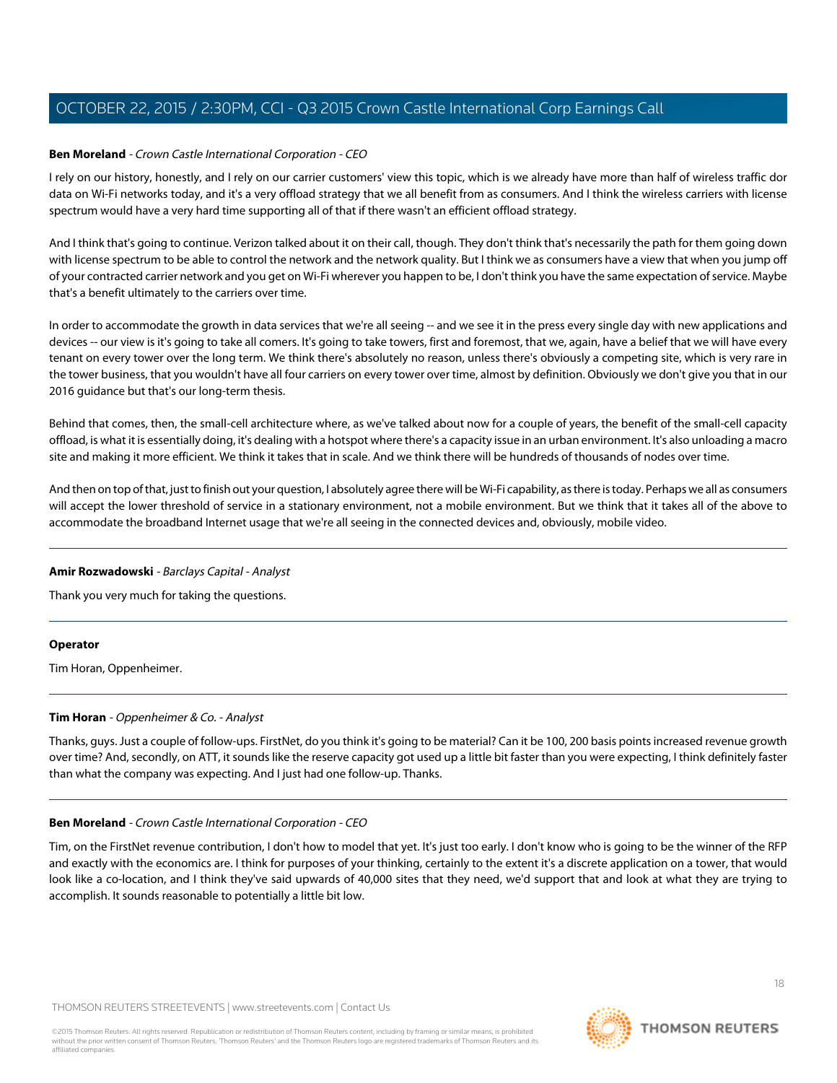#### **Ben Moreland** - Crown Castle International Corporation - CEO

I rely on our history, honestly, and I rely on our carrier customers' view this topic, which is we already have more than half of wireless traffic dor data on Wi-Fi networks today, and it's a very offload strategy that we all benefit from as consumers. And I think the wireless carriers with license spectrum would have a very hard time supporting all of that if there wasn't an efficient offload strategy.

And I think that's going to continue. Verizon talked about it on their call, though. They don't think that's necessarily the path for them going down with license spectrum to be able to control the network and the network quality. But I think we as consumers have a view that when you jump off of your contracted carrier network and you get on Wi-Fi wherever you happen to be, I don't think you have the same expectation of service. Maybe that's a benefit ultimately to the carriers over time.

In order to accommodate the growth in data services that we're all seeing -- and we see it in the press every single day with new applications and devices -- our view is it's going to take all comers. It's going to take towers, first and foremost, that we, again, have a belief that we will have every tenant on every tower over the long term. We think there's absolutely no reason, unless there's obviously a competing site, which is very rare in the tower business, that you wouldn't have all four carriers on every tower over time, almost by definition. Obviously we don't give you that in our 2016 guidance but that's our long-term thesis.

Behind that comes, then, the small-cell architecture where, as we've talked about now for a couple of years, the benefit of the small-cell capacity offload, is what it is essentially doing, it's dealing with a hotspot where there's a capacity issue in an urban environment. It's also unloading a macro site and making it more efficient. We think it takes that in scale. And we think there will be hundreds of thousands of nodes over time.

And then on top of that, just to finish out your question, I absolutely agree there will be Wi-Fi capability, as there is today. Perhaps we all as consumers will accept the lower threshold of service in a stationary environment, not a mobile environment. But we think that it takes all of the above to accommodate the broadband Internet usage that we're all seeing in the connected devices and, obviously, mobile video.

#### **Amir Rozwadowski** - Barclays Capital - Analyst

Thank you very much for taking the questions.

#### <span id="page-17-0"></span>**Operator**

Tim Horan, Oppenheimer.

#### **Tim Horan** - Oppenheimer & Co. - Analyst

Thanks, guys. Just a couple of follow-ups. FirstNet, do you think it's going to be material? Can it be 100, 200 basis points increased revenue growth over time? And, secondly, on ATT, it sounds like the reserve capacity got used up a little bit faster than you were expecting, I think definitely faster than what the company was expecting. And I just had one follow-up. Thanks.

#### **Ben Moreland** - Crown Castle International Corporation - CEO

Tim, on the FirstNet revenue contribution, I don't how to model that yet. It's just too early. I don't know who is going to be the winner of the RFP and exactly with the economics are. I think for purposes of your thinking, certainly to the extent it's a discrete application on a tower, that would look like a co-location, and I think they've said upwards of 40,000 sites that they need, we'd support that and look at what they are trying to accomplish. It sounds reasonable to potentially a little bit low.

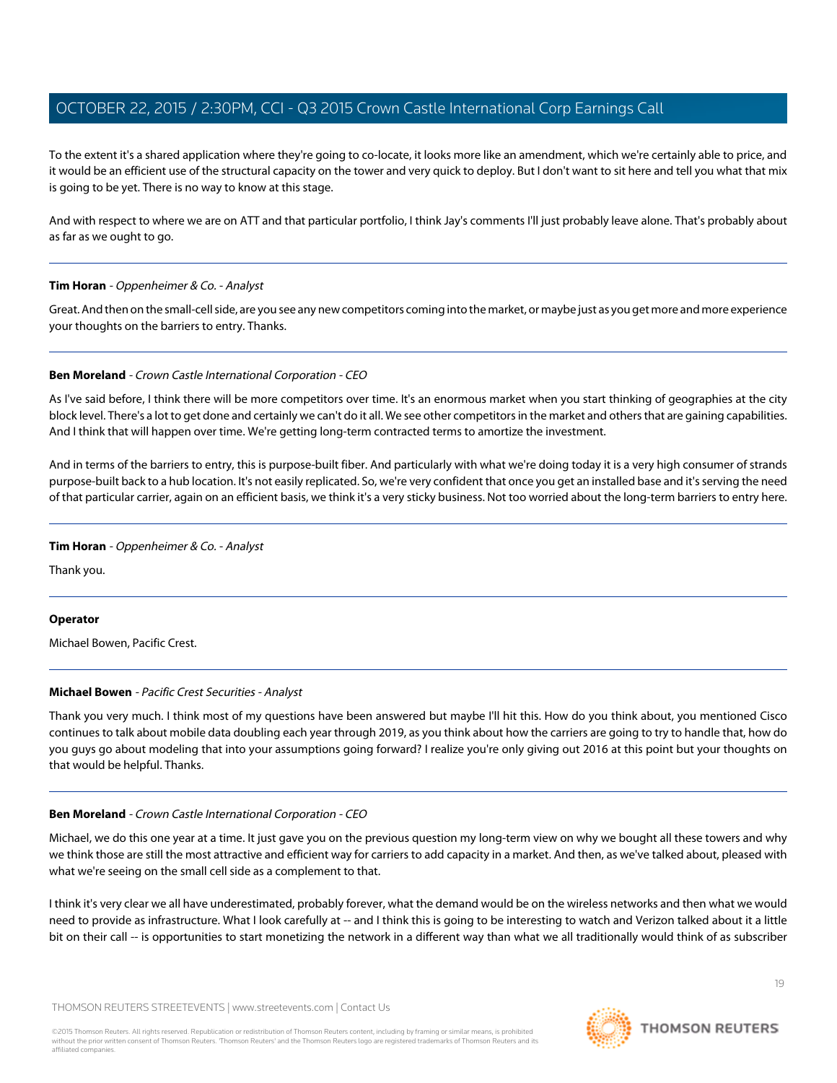To the extent it's a shared application where they're going to co-locate, it looks more like an amendment, which we're certainly able to price, and it would be an efficient use of the structural capacity on the tower and very quick to deploy. But I don't want to sit here and tell you what that mix is going to be yet. There is no way to know at this stage.

And with respect to where we are on ATT and that particular portfolio, I think Jay's comments I'll just probably leave alone. That's probably about as far as we ought to go.

#### **Tim Horan** - Oppenheimer & Co. - Analyst

Great. And then on the small-cell side, are you see any new competitors coming into the market, or maybe just as you get more and more experience your thoughts on the barriers to entry. Thanks.

#### **Ben Moreland** - Crown Castle International Corporation - CEO

As I've said before, I think there will be more competitors over time. It's an enormous market when you start thinking of geographies at the city block level. There's a lot to get done and certainly we can't do it all. We see other competitors in the market and others that are gaining capabilities. And I think that will happen over time. We're getting long-term contracted terms to amortize the investment.

And in terms of the barriers to entry, this is purpose-built fiber. And particularly with what we're doing today it is a very high consumer of strands purpose-built back to a hub location. It's not easily replicated. So, we're very confident that once you get an installed base and it's serving the need of that particular carrier, again on an efficient basis, we think it's a very sticky business. Not too worried about the long-term barriers to entry here.

#### **Tim Horan** - Oppenheimer & Co. - Analyst

Thank you.

#### <span id="page-18-0"></span>**Operator**

Michael Bowen, Pacific Crest.

# **Michael Bowen** - Pacific Crest Securities - Analyst

Thank you very much. I think most of my questions have been answered but maybe I'll hit this. How do you think about, you mentioned Cisco continues to talk about mobile data doubling each year through 2019, as you think about how the carriers are going to try to handle that, how do you guys go about modeling that into your assumptions going forward? I realize you're only giving out 2016 at this point but your thoughts on that would be helpful. Thanks.

#### **Ben Moreland** - Crown Castle International Corporation - CEO

Michael, we do this one year at a time. It just gave you on the previous question my long-term view on why we bought all these towers and why we think those are still the most attractive and efficient way for carriers to add capacity in a market. And then, as we've talked about, pleased with what we're seeing on the small cell side as a complement to that.

I think it's very clear we all have underestimated, probably forever, what the demand would be on the wireless networks and then what we would need to provide as infrastructure. What I look carefully at -- and I think this is going to be interesting to watch and Verizon talked about it a little bit on their call -- is opportunities to start monetizing the network in a different way than what we all traditionally would think of as subscriber

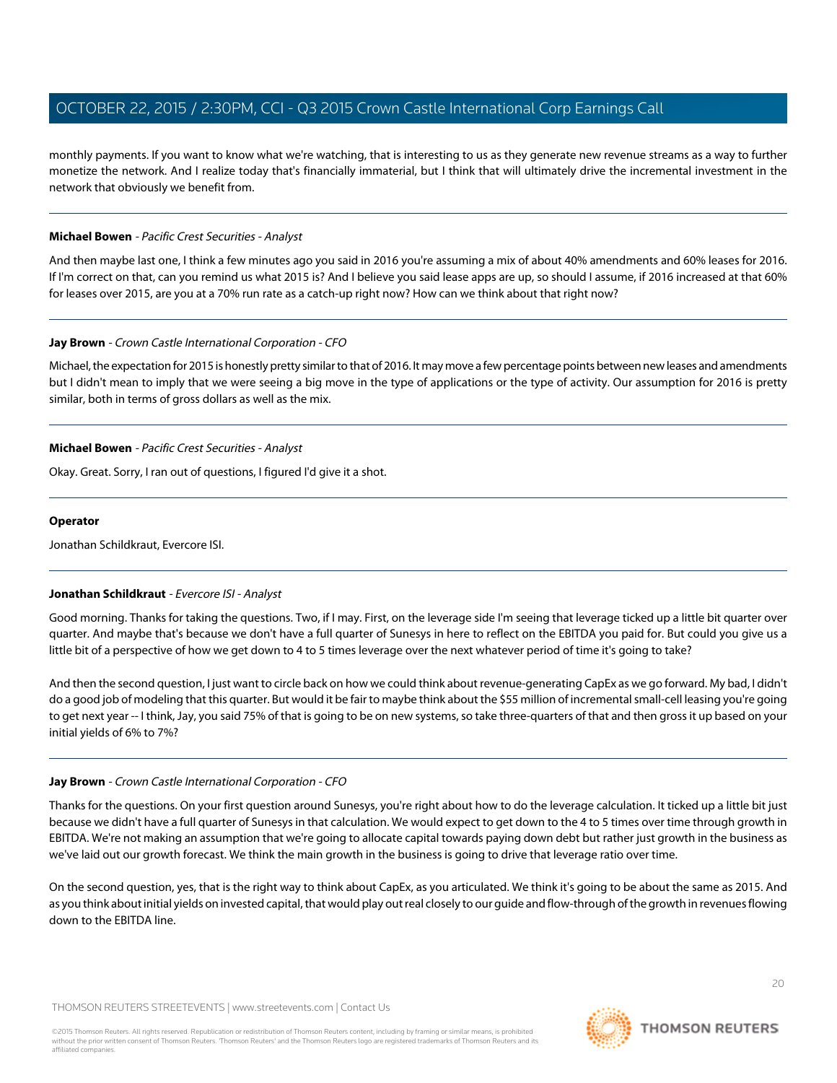monthly payments. If you want to know what we're watching, that is interesting to us as they generate new revenue streams as a way to further monetize the network. And I realize today that's financially immaterial, but I think that will ultimately drive the incremental investment in the network that obviously we benefit from.

#### **Michael Bowen** - Pacific Crest Securities - Analyst

And then maybe last one, I think a few minutes ago you said in 2016 you're assuming a mix of about 40% amendments and 60% leases for 2016. If I'm correct on that, can you remind us what 2015 is? And I believe you said lease apps are up, so should I assume, if 2016 increased at that 60% for leases over 2015, are you at a 70% run rate as a catch-up right now? How can we think about that right now?

#### **Jay Brown** - Crown Castle International Corporation - CFO

Michael, the expectation for 2015 is honestly pretty similar to that of 2016. It may move a few percentage points between new leases and amendments but I didn't mean to imply that we were seeing a big move in the type of applications or the type of activity. Our assumption for 2016 is pretty similar, both in terms of gross dollars as well as the mix.

#### **Michael Bowen** - Pacific Crest Securities - Analyst

Okay. Great. Sorry, I ran out of questions, I figured I'd give it a shot.

#### **Operator**

<span id="page-19-0"></span>Jonathan Schildkraut, Evercore ISI.

# **Jonathan Schildkraut** - Evercore ISI - Analyst

Good morning. Thanks for taking the questions. Two, if I may. First, on the leverage side I'm seeing that leverage ticked up a little bit quarter over quarter. And maybe that's because we don't have a full quarter of Sunesys in here to reflect on the EBITDA you paid for. But could you give us a little bit of a perspective of how we get down to 4 to 5 times leverage over the next whatever period of time it's going to take?

And then the second question, I just want to circle back on how we could think about revenue-generating CapEx as we go forward. My bad, I didn't do a good job of modeling that this quarter. But would it be fair to maybe think about the \$55 million of incremental small-cell leasing you're going to get next year -- I think, Jay, you said 75% of that is going to be on new systems, so take three-quarters of that and then gross it up based on your initial yields of 6% to 7%?

#### **Jay Brown** - Crown Castle International Corporation - CFO

Thanks for the questions. On your first question around Sunesys, you're right about how to do the leverage calculation. It ticked up a little bit just because we didn't have a full quarter of Sunesys in that calculation. We would expect to get down to the 4 to 5 times over time through growth in EBITDA. We're not making an assumption that we're going to allocate capital towards paying down debt but rather just growth in the business as we've laid out our growth forecast. We think the main growth in the business is going to drive that leverage ratio over time.

On the second question, yes, that is the right way to think about CapEx, as you articulated. We think it's going to be about the same as 2015. And as you think about initial yields on invested capital, that would play out real closely to our guide and flow-through of the growth in revenues flowing down to the EBITDA line.

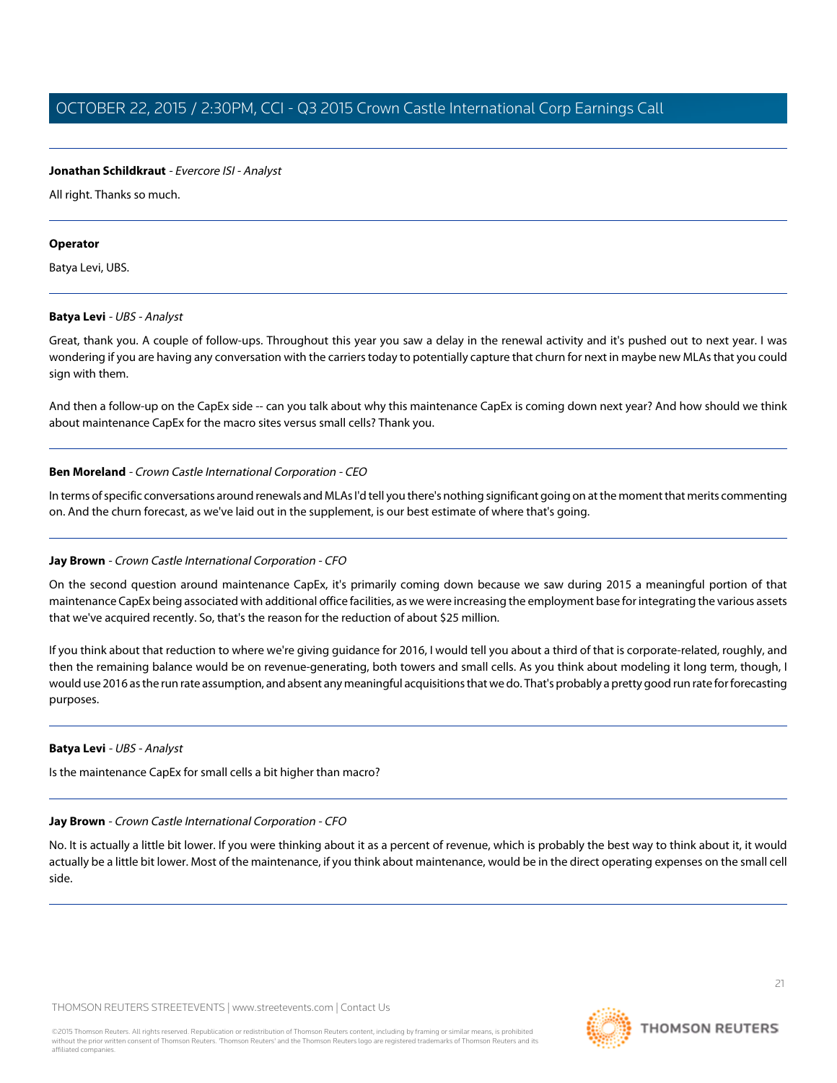#### **Jonathan Schildkraut** - Evercore ISI - Analyst

All right. Thanks so much.

#### **Operator**

<span id="page-20-0"></span>Batya Levi, UBS.

#### **Batya Levi** - UBS - Analyst

Great, thank you. A couple of follow-ups. Throughout this year you saw a delay in the renewal activity and it's pushed out to next year. I was wondering if you are having any conversation with the carriers today to potentially capture that churn for next in maybe new MLAs that you could sign with them.

And then a follow-up on the CapEx side -- can you talk about why this maintenance CapEx is coming down next year? And how should we think about maintenance CapEx for the macro sites versus small cells? Thank you.

#### **Ben Moreland** - Crown Castle International Corporation - CEO

In terms of specific conversations around renewals and MLAs I'd tell you there's nothing significant going on at the moment that merits commenting on. And the churn forecast, as we've laid out in the supplement, is our best estimate of where that's going.

# **Jay Brown** - Crown Castle International Corporation - CFO

On the second question around maintenance CapEx, it's primarily coming down because we saw during 2015 a meaningful portion of that maintenance CapEx being associated with additional office facilities, as we were increasing the employment base for integrating the various assets that we've acquired recently. So, that's the reason for the reduction of about \$25 million.

If you think about that reduction to where we're giving guidance for 2016, I would tell you about a third of that is corporate-related, roughly, and then the remaining balance would be on revenue-generating, both towers and small cells. As you think about modeling it long term, though, I would use 2016 as the run rate assumption, and absent any meaningful acquisitions that we do. That's probably a pretty good run rate for forecasting purposes.

#### **Batya Levi** - UBS - Analyst

Is the maintenance CapEx for small cells a bit higher than macro?

# **Jay Brown** - Crown Castle International Corporation - CFO

No. It is actually a little bit lower. If you were thinking about it as a percent of revenue, which is probably the best way to think about it, it would actually be a little bit lower. Most of the maintenance, if you think about maintenance, would be in the direct operating expenses on the small cell side.

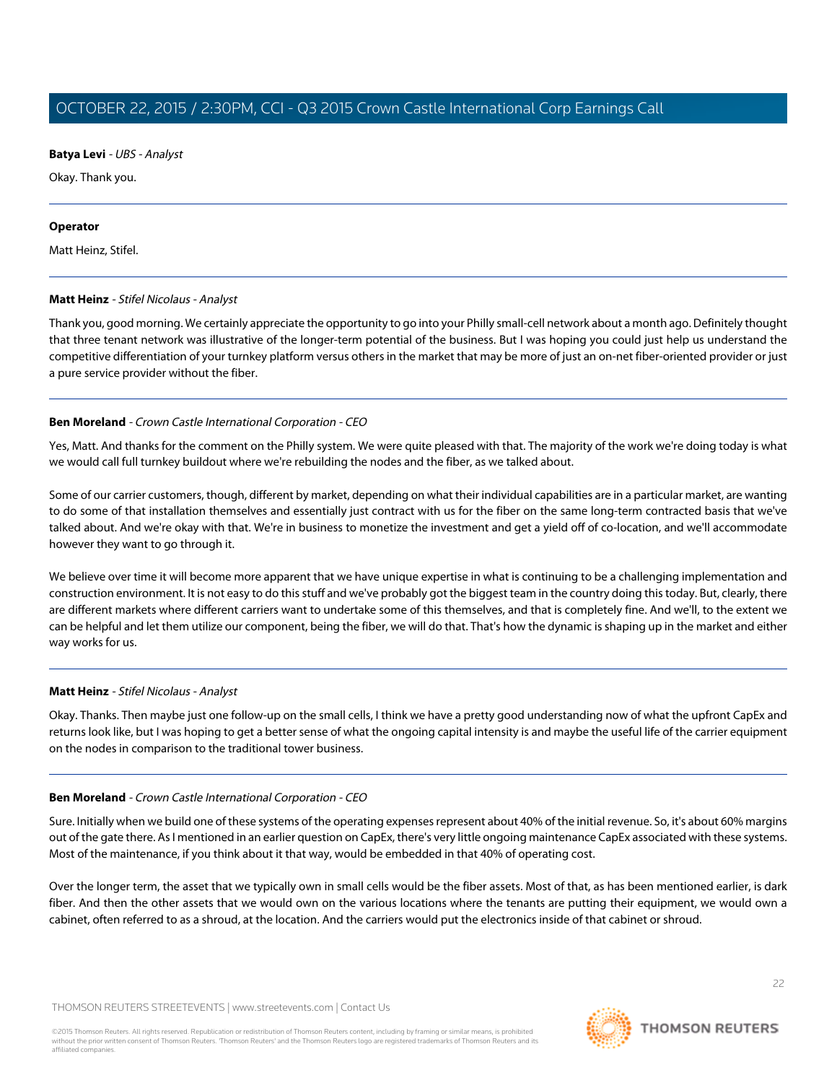**Batya Levi** - UBS - Analyst

Okay. Thank you.

#### **Operator**

<span id="page-21-0"></span>Matt Heinz, Stifel.

# **Matt Heinz** - Stifel Nicolaus - Analyst

Thank you, good morning. We certainly appreciate the opportunity to go into your Philly small-cell network about a month ago. Definitely thought that three tenant network was illustrative of the longer-term potential of the business. But I was hoping you could just help us understand the competitive differentiation of your turnkey platform versus others in the market that may be more of just an on-net fiber-oriented provider or just a pure service provider without the fiber.

# **Ben Moreland** - Crown Castle International Corporation - CEO

Yes, Matt. And thanks for the comment on the Philly system. We were quite pleased with that. The majority of the work we're doing today is what we would call full turnkey buildout where we're rebuilding the nodes and the fiber, as we talked about.

Some of our carrier customers, though, different by market, depending on what their individual capabilities are in a particular market, are wanting to do some of that installation themselves and essentially just contract with us for the fiber on the same long-term contracted basis that we've talked about. And we're okay with that. We're in business to monetize the investment and get a yield off of co-location, and we'll accommodate however they want to go through it.

We believe over time it will become more apparent that we have unique expertise in what is continuing to be a challenging implementation and construction environment. It is not easy to do this stuff and we've probably got the biggest team in the country doing this today. But, clearly, there are different markets where different carriers want to undertake some of this themselves, and that is completely fine. And we'll, to the extent we can be helpful and let them utilize our component, being the fiber, we will do that. That's how the dynamic is shaping up in the market and either way works for us.

# **Matt Heinz** - Stifel Nicolaus - Analyst

Okay. Thanks. Then maybe just one follow-up on the small cells, I think we have a pretty good understanding now of what the upfront CapEx and returns look like, but I was hoping to get a better sense of what the ongoing capital intensity is and maybe the useful life of the carrier equipment on the nodes in comparison to the traditional tower business.

# **Ben Moreland** - Crown Castle International Corporation - CEO

Sure. Initially when we build one of these systems of the operating expenses represent about 40% of the initial revenue. So, it's about 60% margins out of the gate there. As I mentioned in an earlier question on CapEx, there's very little ongoing maintenance CapEx associated with these systems. Most of the maintenance, if you think about it that way, would be embedded in that 40% of operating cost.

Over the longer term, the asset that we typically own in small cells would be the fiber assets. Most of that, as has been mentioned earlier, is dark fiber. And then the other assets that we would own on the various locations where the tenants are putting their equipment, we would own a cabinet, often referred to as a shroud, at the location. And the carriers would put the electronics inside of that cabinet or shroud.

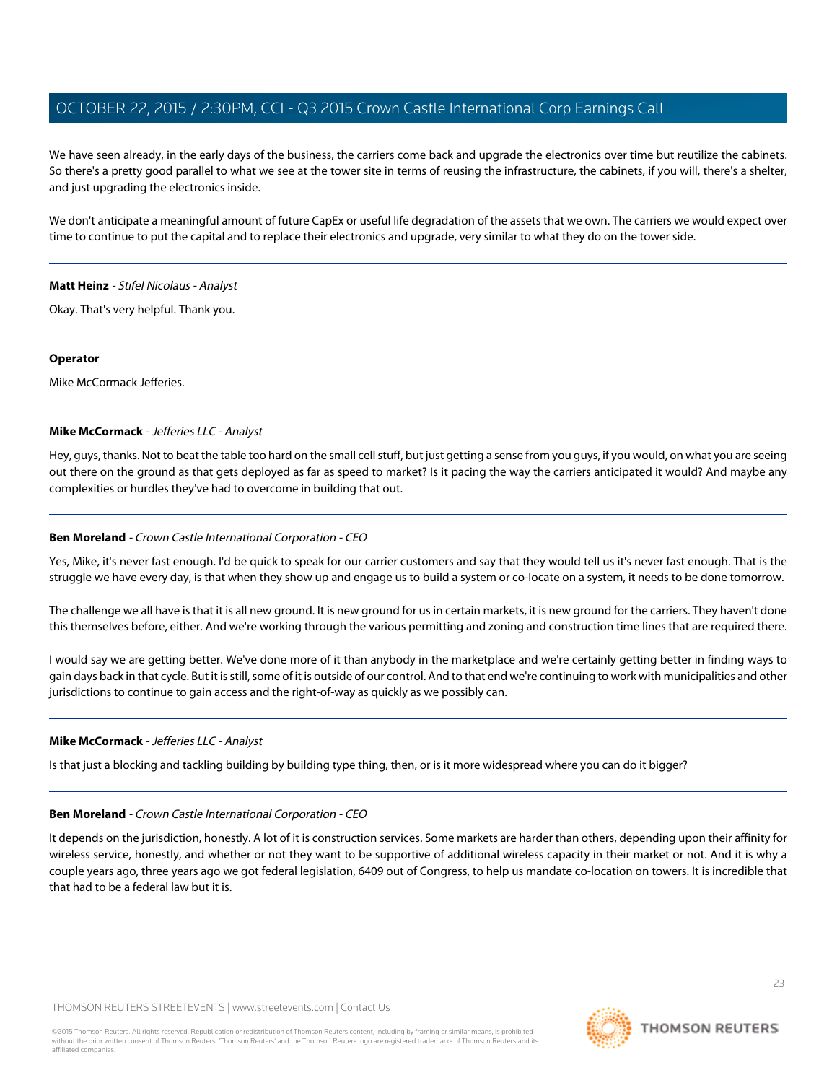We have seen already, in the early days of the business, the carriers come back and upgrade the electronics over time but reutilize the cabinets. So there's a pretty good parallel to what we see at the tower site in terms of reusing the infrastructure, the cabinets, if you will, there's a shelter, and just upgrading the electronics inside.

We don't anticipate a meaningful amount of future CapEx or useful life degradation of the assets that we own. The carriers we would expect over time to continue to put the capital and to replace their electronics and upgrade, very similar to what they do on the tower side.

#### **Matt Heinz** - Stifel Nicolaus - Analyst

Okay. That's very helpful. Thank you.

#### **Operator**

<span id="page-22-0"></span>Mike McCormack Jefferies.

#### **Mike McCormack** - Jefferies LLC - Analyst

Hey, guys, thanks. Not to beat the table too hard on the small cell stuff, but just getting a sense from you guys, if you would, on what you are seeing out there on the ground as that gets deployed as far as speed to market? Is it pacing the way the carriers anticipated it would? And maybe any complexities or hurdles they've had to overcome in building that out.

#### **Ben Moreland** - Crown Castle International Corporation - CEO

Yes, Mike, it's never fast enough. I'd be quick to speak for our carrier customers and say that they would tell us it's never fast enough. That is the struggle we have every day, is that when they show up and engage us to build a system or co-locate on a system, it needs to be done tomorrow.

The challenge we all have is that it is all new ground. It is new ground for us in certain markets, it is new ground for the carriers. They haven't done this themselves before, either. And we're working through the various permitting and zoning and construction time lines that are required there.

I would say we are getting better. We've done more of it than anybody in the marketplace and we're certainly getting better in finding ways to gain days back in that cycle. But it is still, some of it is outside of our control. And to that end we're continuing to work with municipalities and other jurisdictions to continue to gain access and the right-of-way as quickly as we possibly can.

# **Mike McCormack** - Jefferies LLC - Analyst

Is that just a blocking and tackling building by building type thing, then, or is it more widespread where you can do it bigger?

#### **Ben Moreland** - Crown Castle International Corporation - CEO

It depends on the jurisdiction, honestly. A lot of it is construction services. Some markets are harder than others, depending upon their affinity for wireless service, honestly, and whether or not they want to be supportive of additional wireless capacity in their market or not. And it is why a couple years ago, three years ago we got federal legislation, 6409 out of Congress, to help us mandate co-location on towers. It is incredible that that had to be a federal law but it is.

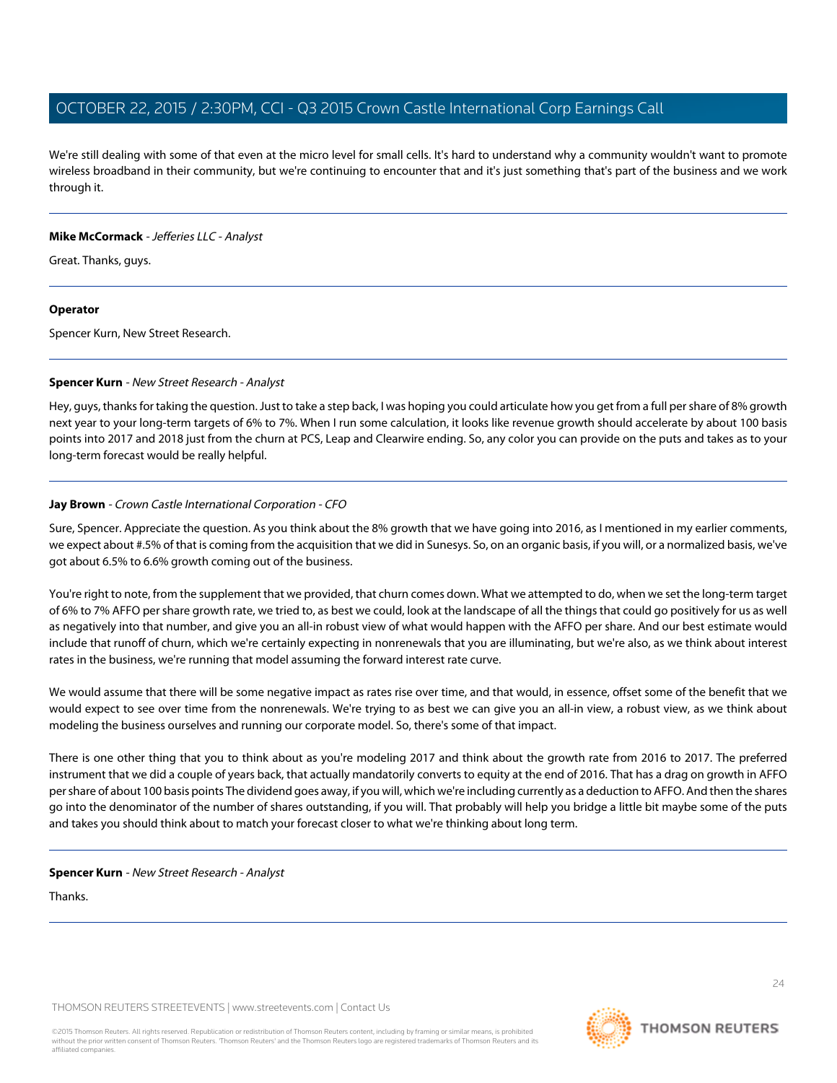We're still dealing with some of that even at the micro level for small cells. It's hard to understand why a community wouldn't want to promote wireless broadband in their community, but we're continuing to encounter that and it's just something that's part of the business and we work through it.

#### **Mike McCormack** - Jefferies LLC - Analyst

Great. Thanks, guys.

# **Operator**

<span id="page-23-0"></span>Spencer Kurn, New Street Research.

# **Spencer Kurn** - New Street Research - Analyst

Hey, guys, thanks for taking the question. Just to take a step back, I was hoping you could articulate how you get from a full per share of 8% growth next year to your long-term targets of 6% to 7%. When I run some calculation, it looks like revenue growth should accelerate by about 100 basis points into 2017 and 2018 just from the churn at PCS, Leap and Clearwire ending. So, any color you can provide on the puts and takes as to your long-term forecast would be really helpful.

# **Jay Brown** - Crown Castle International Corporation - CFO

Sure, Spencer. Appreciate the question. As you think about the 8% growth that we have going into 2016, as I mentioned in my earlier comments, we expect about #.5% of that is coming from the acquisition that we did in Sunesys. So, on an organic basis, if you will, or a normalized basis, we've got about 6.5% to 6.6% growth coming out of the business.

You're right to note, from the supplement that we provided, that churn comes down. What we attempted to do, when we set the long-term target of 6% to 7% AFFO per share growth rate, we tried to, as best we could, look at the landscape of all the things that could go positively for us as well as negatively into that number, and give you an all-in robust view of what would happen with the AFFO per share. And our best estimate would include that runoff of churn, which we're certainly expecting in nonrenewals that you are illuminating, but we're also, as we think about interest rates in the business, we're running that model assuming the forward interest rate curve.

We would assume that there will be some negative impact as rates rise over time, and that would, in essence, offset some of the benefit that we would expect to see over time from the nonrenewals. We're trying to as best we can give you an all-in view, a robust view, as we think about modeling the business ourselves and running our corporate model. So, there's some of that impact.

There is one other thing that you to think about as you're modeling 2017 and think about the growth rate from 2016 to 2017. The preferred instrument that we did a couple of years back, that actually mandatorily converts to equity at the end of 2016. That has a drag on growth in AFFO per share of about 100 basis points The dividend goes away, if you will, which we're including currently as a deduction to AFFO. And then the shares go into the denominator of the number of shares outstanding, if you will. That probably will help you bridge a little bit maybe some of the puts and takes you should think about to match your forecast closer to what we're thinking about long term.

# **Spencer Kurn** - New Street Research - Analyst

Thanks.

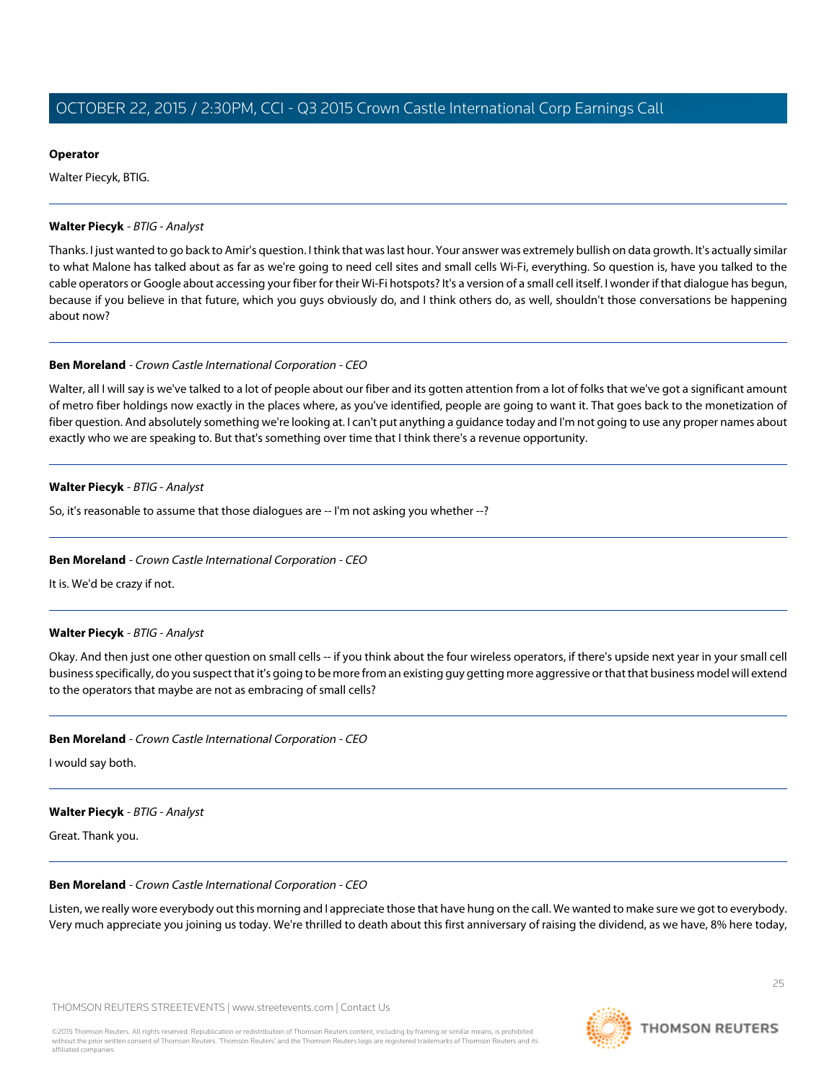# **Operator**

Walter Piecyk, BTIG.

#### <span id="page-24-0"></span>**Walter Piecyk** - BTIG - Analyst

Thanks. I just wanted to go back to Amir's question. I think that was last hour. Your answer was extremely bullish on data growth. It's actually similar to what Malone has talked about as far as we're going to need cell sites and small cells Wi-Fi, everything. So question is, have you talked to the cable operators or Google about accessing your fiber for their Wi-Fi hotspots? It's a version of a small cell itself. I wonder if that dialogue has begun, because if you believe in that future, which you guys obviously do, and I think others do, as well, shouldn't those conversations be happening about now?

#### **Ben Moreland** - Crown Castle International Corporation - CEO

Walter, all I will say is we've talked to a lot of people about our fiber and its gotten attention from a lot of folks that we've got a significant amount of metro fiber holdings now exactly in the places where, as you've identified, people are going to want it. That goes back to the monetization of fiber question. And absolutely something we're looking at. I can't put anything a guidance today and I'm not going to use any proper names about exactly who we are speaking to. But that's something over time that I think there's a revenue opportunity.

# **Walter Piecyk** - BTIG - Analyst

So, it's reasonable to assume that those dialogues are -- I'm not asking you whether --?

# **Ben Moreland** - Crown Castle International Corporation - CEO

It is. We'd be crazy if not.

# **Walter Piecyk** - BTIG - Analyst

Okay. And then just one other question on small cells -- if you think about the four wireless operators, if there's upside next year in your small cell business specifically, do you suspect that it's going to be more from an existing guy getting more aggressive or that that business model will extend to the operators that maybe are not as embracing of small cells?

# **Ben Moreland** - Crown Castle International Corporation - CEO

I would say both.

# **Walter Piecyk** - BTIG - Analyst

Great. Thank you.

#### **Ben Moreland** - Crown Castle International Corporation - CEO

Listen, we really wore everybody out this morning and I appreciate those that have hung on the call. We wanted to make sure we got to everybody. Very much appreciate you joining us today. We're thrilled to death about this first anniversary of raising the dividend, as we have, 8% here today,